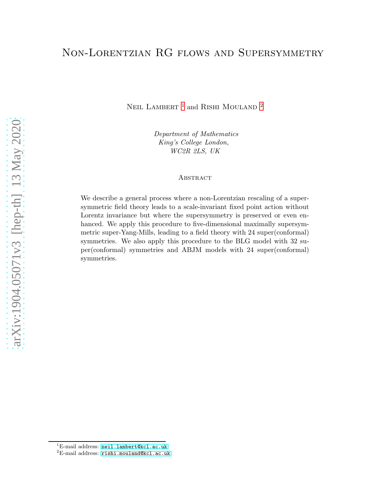# Non-Lorentzian RG flows and Supersymmetry

NEIL LAMBERT  $^{\rm 1}$  $^{\rm 1}$  $^{\rm 1}$  and RISHI MOULAND  $^{\rm 2}$  $^{\rm 2}$  $^{\rm 2}$ 

Department of Mathematics King's College London, WC2R 2LS, UK

#### **ABSTRACT**

We describe a general process where a non-Lorentzian rescaling of a supersymmetric field theory leads to a scale-invariant fixed point action without Lorentz invariance but where the supersymmetry is preserved or even enhanced. We apply this procedure to five-dimensional maximally supersymmetric super-Yang-Mills, leading to a field theory with 24 super(conformal) symmetries. We also apply this procedure to the BLG model with 32 super(conformal) symmetries and ABJM models with 24 super(conformal) symmetries.

 ${}^{1}$ E-mail address: [neil.lambert@kcl.ac.uk](mailto:neil.lambert@kcl.ac.uk)

<span id="page-0-1"></span><span id="page-0-0"></span> ${}^{2}E$ -mail address: [rishi.mouland@kcl.ac.uk](mailto:rishi.mouland@kcl.ac.uk)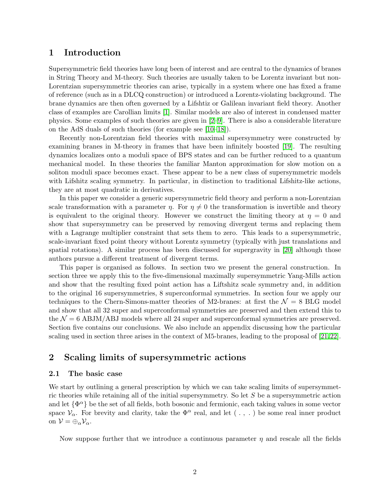## 1 Introduction

Supersymmetric field theories have long been of interest and are central to the dynamics of branes in String Theory and M-theory. Such theories are usually taken to be Lorentz invariant but non-Lorentzian supersymmetric theories can arise, typically in a system where one has fixed a frame of reference (such as in a DLCQ construction) or introduced a Lorentz-violating background. The brane dynamics are then often governed by a Lifshtiz or Galilean invariant field theory. Another class of examples are Carollian limits [\[1\]](#page-21-0). Similar models are also of interest in condensed matter physics. Some examples of such theories are given in [\[2](#page-21-1)[–9\]](#page-22-0). There is also a considerable literature on the AdS duals of such theories (for example see [\[10](#page-22-1)[–18\]](#page-22-2)).

Recently non-Lorentzian field theories with maximal supersymmetry were constructed by examining branes in M-theory in frames that have been infinitely boosted [\[19\]](#page-22-3). The resulting dynamics localizes onto a moduli space of BPS states and can be further reduced to a quantum mechanical model. In these theories the familiar Manton approximation for slow motion on a soliton moduli space becomes exact. These appear to be a new class of supersymmetric models with Lifshitz scaling symmetry. In particular, in distinction to traditional Lifshitz-like actions, they are at most quadratic in derivatives.

In this paper we consider a generic supersymmetric field theory and perform a non-Lorentzian scale transformation with a parameter  $\eta$ . For  $\eta \neq 0$  the transformation is invertible and theory is equivalent to the original theory. However we construct the limiting theory at  $\eta = 0$  and show that supersymmetry can be preserved by removing divergent terms and replacing them with a Lagrange multiplier constraint that sets them to zero. This leads to a supersymmetric, scale-invariant fixed point theory without Lorentz symmetry (typically with just translations and spatial rotations). A similar process has been discussed for supergravity in [\[20\]](#page-22-4) although those authors pursue a different treatment of divergent terms.

This paper is organised as follows. In section two we present the general construction. In section three we apply this to the five-dimensional maximally supersymmetric Yang-Mills action and show that the resulting fixed point action has a Liftshitz scale symmetry and, in addition to the original 16 supersymmetries, 8 superconformal symmetries. In section four we apply our techniques to the Chern-Simons-matter theories of M2-branes: at first the  $\mathcal{N} = 8$  BLG model and show that all 32 super and superconformal symmetries are preserved and then extend this to the  $\mathcal{N} = 6$  ABJM/ABJ models where all 24 super and superconformal symmetries are preserved. Section five contains our conclusions. We also include an appendix discussing how the particular scaling used in section three arises in the context of M5-branes, leading to the proposal of [\[21,](#page-22-5)[22\]](#page-23-0).

## 2 Scaling limits of supersymmetric actions

#### 2.1 The basic case

We start by outlining a general prescription by which we can take scaling limits of supersymmetric theories while retaining all of the initial supersymmetry. So let S be a supersymmetric action and let  $\{\Phi^{\alpha}\}$  be the set of all fields, both bosonic and fermionic, each taking values in some vector space  $V_{\alpha}$ . For brevity and clarity, take the  $\Phi^{\alpha}$  real, and let (., .) be some real inner product on  $\mathcal{V} = \bigoplus_{\alpha} \mathcal{V}_{\alpha}$ .

Now suppose further that we introduce a continuous parameter  $\eta$  and rescale all the fields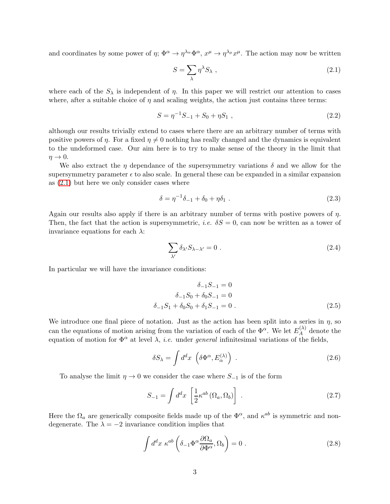and coordinates by some power of  $\eta$ ;  $\Phi^{\alpha} \to \eta^{\lambda_{\alpha}} \Phi^{\alpha}$ ,  $x^{\mu} \to \eta^{\lambda_{\mu}} x^{\mu}$ . The action may now be written

<span id="page-2-0"></span>
$$
S = \sum_{\lambda} \eta^{\lambda} S_{\lambda} , \qquad (2.1)
$$

where each of the  $S_\lambda$  is independent of  $\eta$ . In this paper we will restrict our attention to cases where, after a suitable choice of  $\eta$  and scaling weights, the action just contains three terms:

$$
S = \eta^{-1}S_{-1} + S_0 + \eta S_1 , \qquad (2.2)
$$

although our results trivially extend to cases where there are an arbitrary number of terms with positive powers of  $\eta$ . For a fixed  $\eta \neq 0$  nothing has really changed and the dynamics is equivalent to the undeformed case. Our aim here is to try to make sense of the theory in the limit that  $\eta \rightarrow 0$ .

We also extract the  $\eta$  dependance of the supersymmetry variations  $\delta$  and we allow for the supersymmetry parameter  $\epsilon$  to also scale. In general these can be expanded in a similar expansion as [\(2.1\)](#page-2-0) but here we only consider cases where

$$
\delta = \eta^{-1}\delta_{-1} + \delta_0 + \eta \delta_1 \tag{2.3}
$$

Again our results also apply if there is an arbitrary number of terms with postive powers of  $\eta$ . Then, the fact that the action is supersymmetric, *i.e.*  $\delta S = 0$ , can now be written as a tower of invariance equations for each  $\lambda$ :

<span id="page-2-3"></span>
$$
\sum_{\lambda'} \delta_{\lambda'} S_{\lambda - \lambda'} = 0 \tag{2.4}
$$

In particular we will have the invariance conditions:

$$
\delta_{-1}S_{-1} = 0
$$
  
\n
$$
\delta_{-1}S_0 + \delta_0 S_{-1} = 0
$$
  
\n
$$
\delta_{-1}S_1 + \delta_0 S_0 + \delta_1 S_{-1} = 0
$$
 (2.5)

We introduce one final piece of notation. Just as the action has been split into a series in  $\eta$ , so can the equations of motion arising from the variation of each of the  $\Phi^{\alpha}$ . We let  $E_A^{(\lambda)}$  $A^{\scriptscriptstyle{(\Lambda)}}$  denote the equation of motion for  $\Phi^{\alpha}$  at level  $\lambda$ , *i.e.* under *general* infinitesimal variations of the fields,

<span id="page-2-2"></span>
$$
\delta S_{\lambda} = \int d^d x \, \left( \delta \Phi^{\alpha}, E_{\alpha}^{(\lambda)} \right) \,. \tag{2.6}
$$

To analyse the limit  $\eta \to 0$  we consider the case where  $S_{-1}$  is of the form

$$
S_{-1} = \int d^d x \left[ \frac{1}{2} \kappa^{ab} \left( \Omega_a, \Omega_b \right) \right] \,. \tag{2.7}
$$

Here the  $\Omega_a$  are generically composite fields made up of the  $\Phi^{\alpha}$ , and  $\kappa^{ab}$  is symmetric and nondegenerate. The  $\lambda = -2$  invariance condition implies that

<span id="page-2-1"></span>
$$
\int d^d x \ \kappa^{ab} \left( \delta_{-1} \Phi^\alpha \frac{\partial \Omega_a}{\partial \Phi^\alpha}, \Omega_b \right) = 0 \ . \tag{2.8}
$$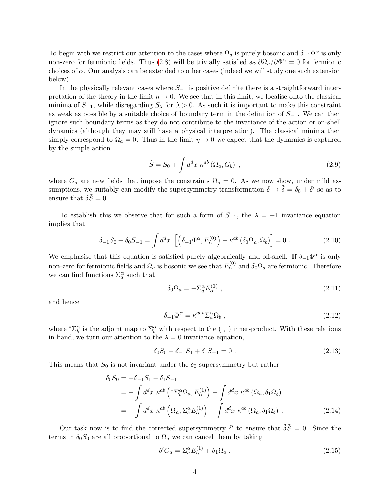To begin with we restrict our attention to the cases where  $\Omega_a$  is purely bosonic and  $\delta_{-1}\Phi^\alpha$  is only non-zero for fermionic fields. Thus [\(2.8\)](#page-2-1) will be trivially satisfied as  $\partial \Omega_a/\partial \Phi^{\alpha} = 0$  for fermionic choices of  $\alpha$ . Our analysis can be extended to other cases (indeed we will study one such extension below).

In the physically relevant cases where  $S_{-1}$  is positive definite there is a straightforward interpretation of the theory in the limit  $\eta \to 0$ . We see that in this limit, we localise onto the classical minima of  $S_{-1}$ , while disregarding  $S_{\lambda}$  for  $\lambda > 0$ . As such it is important to make this constraint as weak as possible by a suitable choice of boundary term in the definition of  $S_{-1}$ . We can then ignore such boundary terms as they do not contribute to the invariance of the action or on-shell dynamics (although they may still have a physical interpretation). The classical minima then simply correspond to  $\Omega_a = 0$ . Thus in the limit  $\eta \to 0$  we expect that the dynamics is captured by the simple action

$$
\tilde{S} = S_0 + \int d^d x \ \kappa^{ab} \left( \Omega_a, G_b \right) \ , \tag{2.9}
$$

where  $G_a$  are new fields that impose the constraints  $\Omega_a = 0$ . As we now show, under mild assumptions, we suitably can modify the supersymmetry transformation  $\delta \to \tilde{\delta} = \delta_0 + \delta'$  so as to ensure that  $\ddot{\delta} \ddot{S} = 0$ .

To establish this we observe that for such a form of  $S_{-1}$ , the  $\lambda = -1$  invariance equation implies that

$$
\delta_{-1}S_0 + \delta_0 S_{-1} = \int d^d x \, \left[ \left( \delta_{-1} \Phi^\alpha, E_\alpha^{(0)} \right) + \kappa^{ab} \left( \delta_0 \Omega_a, \Omega_b \right) \right] = 0 \; . \tag{2.10}
$$

We emphasise that this equation is satisfied purely algebraically and off-shell. If  $\delta_{-1}\Phi^{\alpha}$  is only non-zero for fermionic fields and  $\Omega_a$  is bosonic we see that  $E_\alpha^{(0)}$  and  $\delta_0\Omega_a$  are fermionic. Therefore we can find functions  $\Sigma^\alpha_a$  such that

<span id="page-3-1"></span><span id="page-3-0"></span>
$$
\delta_0 \Omega_a = -\Sigma_a^{\alpha} E_{\alpha}^{(0)} \tag{2.11}
$$

and hence

$$
\delta_{-1}\Phi^{\alpha} = \kappa^{ab} \Sigma_a^{\alpha} \Omega_b \;, \tag{2.12}
$$

where  ${}^*\Sigma^{\alpha}_b$  is the adjoint map to  $\Sigma^{\alpha}_b$  with respect to the (, ) inner-product. With these relations in hand, we turn our attention to the  $\lambda = 0$  invariance equation,

$$
\delta_0 S_0 + \delta_{-1} S_1 + \delta_1 S_{-1} = 0 \tag{2.13}
$$

This means that  $S_0$  is not invariant under the  $\delta_0$  supersymmetry but rather

$$
\delta_0 S_0 = -\delta_{-1} S_1 - \delta_1 S_{-1}
$$
  
= 
$$
- \int d^d x \ \kappa^{ab} \left( {}^* \Sigma_b^{\alpha} \Omega_a, E_{\alpha}^{(1)} \right) - \int d^d x \ \kappa^{ab} \left( \Omega_a, \delta_1 \Omega_b \right)
$$
  
= 
$$
- \int d^d x \ \kappa^{ab} \left( \Omega_a, \Sigma_b^{\alpha} E_{\alpha}^{(1)} \right) - \int d^d x \ \kappa^{ab} \left( \Omega_a, \delta_1 \Omega_b \right) , \qquad (2.14)
$$

Our task now is to find the corrected supersymmetry  $\delta'$  to ensure that  $\tilde{\delta} \tilde{S} = 0$ . Since the terms in  $\delta_0 S_0$  are all proportional to  $\Omega_a$  we can cancel them by taking

$$
\delta' G_a = \Sigma_a^{\alpha} E_{\alpha}^{(1)} + \delta_1 \Omega_a \tag{2.15}
$$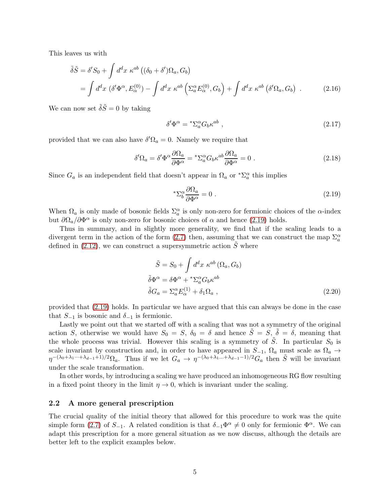This leaves us with

$$
\tilde{\delta}\tilde{S} = \delta'S_0 + \int d^d x \ \kappa^{ab} \left( (\delta_0 + \delta')\Omega_a, G_b \right)
$$
  
= 
$$
\int d^d x \ (\delta'\Phi^\alpha, E_\alpha^{(0)}) - \int d^d x \ \kappa^{ab} \left( \Sigma_a^\alpha E_\alpha^{(0)}, G_b \right) + \int d^d x \ \kappa^{ab} \left( \delta'\Omega_a, G_b \right) .
$$
 (2.16)

We can now set  $\tilde{\delta} \tilde{S} = 0$  by taking

$$
\delta^{\prime} \Phi^{\alpha} = {}^{*}\Sigma_{a}^{\alpha} G_{b} \kappa^{ab} , \qquad (2.17)
$$

provided that we can also have  $\delta' \Omega_a = 0$ . Namely we require that

$$
\delta' \Omega_a = \delta' \Phi^\alpha \frac{\partial \Omega_a}{\partial \Phi^\alpha} = {}^* \Sigma_a^\alpha G_b \kappa^{ab} \frac{\partial \Omega_a}{\partial \Phi^\alpha} = 0 \ . \tag{2.18}
$$

Since  $G_a$  is an independent field that doesn't appear in  $\Omega_a$  or  $^*\Sigma_a^{\alpha}$  this implies

<span id="page-4-0"></span>
$$
^* \Sigma_b^{\alpha} \frac{\partial \Omega_a}{\partial \Phi^{\alpha}} = 0 \tag{2.19}
$$

When  $\Omega_a$  is only made of bosonic fields  $\Sigma_a^{\alpha}$  is only non-zero for fermionic choices of the  $\alpha$ -index but  $\partial\Omega_a/\partial\Phi^\alpha$  is only non-zero for bosonic choices of  $\alpha$  and hence [\(2.19\)](#page-4-0) holds.

Thus in summary, and in slightly more generality, we find that if the scaling leads to a divergent term in the action of the form [\(2.7\)](#page-2-2) then, assuming that we can construct the map  $\Sigma_a^{\alpha}$ defined in [\(2.12\)](#page-3-0), we can construct a supersymmetric action  $\tilde{S}$  where

$$
\tilde{S} = S_0 + \int d^d x \ \kappa^{ab} (\Omega_a, G_b)
$$
  
\n
$$
\tilde{\delta} \Phi^{\alpha} = \delta \Phi^{\alpha} + {}^* \Sigma^{\alpha}_{a} G_b \kappa^{ab}
$$
  
\n
$$
\tilde{\delta} G_a = \Sigma^{\alpha}_{a} E^{(1)}_{\alpha} + \delta_1 \Omega_a ,
$$
\n(2.20)

provided that [\(2.19\)](#page-4-0) holds. In particular we have argued that this can always be done in the case that  $S_{-1}$  is bosonic and  $\delta_{-1}$  is fermionic.

Lastly we point out that we started off with a scaling that was not a symmetry of the original action S, otherwise we would have  $S_0 = S$ ,  $\delta_0 = \delta$  and hence  $\tilde{S} = S$ ,  $\tilde{\delta} = \delta$ , meaning that the whole process was trivial. However this scaling is a symmetry of  $\tilde{S}$ . In particular  $S_0$  is scale invariant by construction and, in order to have appeared in  $S_{-1}$ ,  $\Omega_a$  must scale as  $\Omega_a \rightarrow$  $\eta^{-(\lambda_0+\lambda_1\cdots+\lambda_{d-1}+1)/2}\Omega_a$ . Thus if we let  $G_a \to \eta^{-(\lambda_0+\lambda_1\cdots+\lambda_{d-1}-1)/2}G_a$  then  $\tilde{S}$  will be invariant under the scale transformation.

In other words, by introducing a scaling we have produced an inhomogeneous RG flow resulting in a fixed point theory in the limit  $\eta \to 0$ , which is invariant under the scaling.

#### <span id="page-4-1"></span>2.2 A more general prescription

The crucial quality of the initial theory that allowed for this procedure to work was the quite simple form [\(2.7\)](#page-2-2) of  $S_{-1}$ . A related condition is that  $\delta_{-1}\Phi^{\alpha}\neq 0$  only for fermionic  $\Phi^{\alpha}$ . We can adapt this prescription for a more general situation as we now discuss, although the details are better left to the explicit examples below.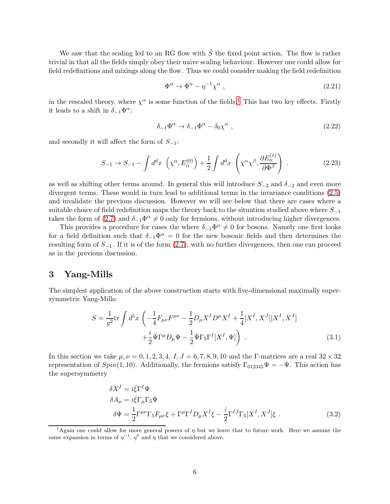We saw that the scaling led to an RG flow with  $\tilde{S}$  the fixed point action. The flow is rather trivial in that all the fields simply obey their naive scaling behaviour. However one could allow for field redefinitions and mixings along the flow. Thus we could consider making the field redefinition

$$
\Phi^{\alpha} \to \Phi^{\alpha} - \eta^{-1} \chi^{\alpha} , \qquad (2.21)
$$

in the rescaled theory, where  $\chi^{\alpha}$  is some function of the fields.<sup>[1](#page-5-0)</sup> This has two key effects. Firstly it leads to a shift in  $\delta_{-1}\Phi^{\alpha}$ :

$$
\delta_{-1}\Phi^{\alpha} \to \delta_{-1}\Phi^{\alpha} - \delta_0\chi^{\alpha} \tag{2.22}
$$

and secondly it will affect the form of  $S_{-1}$ :

$$
S_{-1} \to S_{-1} - \int d^d x \, \left( \chi^\alpha, E_\alpha^{(0)} \right) + \frac{1}{2} \int d^d x \, \left( \chi^\alpha \chi^\beta, \frac{\partial E_\alpha^{(1)}}{\partial \Phi^\beta} \right) \,. \tag{2.23}
$$

as well as shifting other terms around. In general this will introduce  $S_{-2}$  and  $\delta_{-2}$  and even more divergent terms. These would in turn lead to additional terms in the invariance conditions [\(2.5\)](#page-2-3) and invalidate the previous discussion. However we will see below that there are cases where a suitable choice of field redefinition maps the theory back to the situation studied above where  $S_{-1}$ takes the form of [\(2.7\)](#page-2-2) and  $\delta_{-1}\Phi^{\alpha} \neq 0$  only for fermions, without introducing higher divergences.

This provides a procedure for cases the where  $\delta_{-1}\Phi^{\alpha} \neq 0$  for bosons. Namely one first looks for a field definition such that  $\delta_{-1}\Phi^{\alpha} = 0$  for the new bosonic fields and then determines the resulting form of  $S_{-1}$ . If it is of the form [\(2.7\)](#page-2-2), with no further divergences, then one can proceed as in the previous discussion.

# <span id="page-5-1"></span>3 Yang-Mills

The simplest application of the above construction starts with five-dimensional maximally supersymmetric Yang-Mills:

$$
S = \frac{1}{g^2} \text{tr} \int d^5 x \left( -\frac{1}{4} F_{\mu\nu} F^{\mu\nu} - \frac{1}{2} D_{\mu} X^I D^{\mu} X^I + \frac{1}{4} [X^I, X^J] [X^I, X^J] + \frac{i}{2} \bar{\Psi} \Gamma^{\mu} D_{\mu} \Psi - \frac{1}{2} \bar{\Psi} \Gamma_5 \Gamma^I [X^I, \Psi] \right) . \tag{3.1}
$$

In this section we take  $\mu, \nu = 0, 1, 2, 3, 4, I, J = 6, 7, 8, 9, 10$  and the Γ-matrices are a real  $32 \times 32$ representation of  $Spin(1, 10)$ . Additionally, the fermions satisfy  $\Gamma_{012345}\Psi = -\Psi$ . This action has the supersymmetry

<span id="page-5-2"></span>
$$
\delta X^{I} = i \bar{\xi} \Gamma^{I} \Psi
$$
  
\n
$$
\delta A_{\mu} = i \bar{\xi} \Gamma_{\mu} \Gamma_{5} \Psi
$$
  
\n
$$
\delta \Psi = \frac{1}{2} \Gamma^{\mu \nu} \Gamma_{5} F_{\mu \nu} \xi + \Gamma^{\mu} \Gamma^{I} D_{\mu} X^{I} \xi - \frac{i}{2} \Gamma^{I J} \Gamma_{5} [X^{I}, X^{J}] \xi
$$
 (3.2)

<span id="page-5-0"></span><sup>&</sup>lt;sup>1</sup>Again one could allow for more general powers of  $\eta$  but we leave that to future work. Here we assume the same expansion in terms of  $\eta^{-1}$ ,  $\eta^0$  and  $\eta$  that we considered above.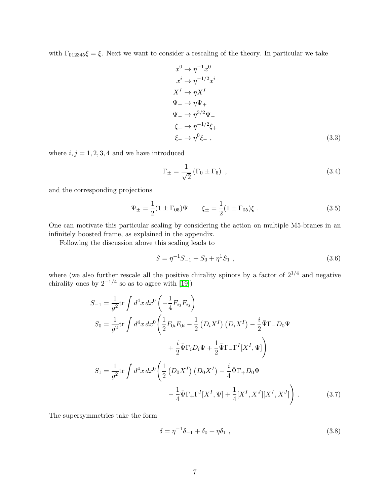with  $\Gamma_{012345}\xi = \xi$ . Next we want to consider a rescaling of the theory. In particular we take

$$
x^{0} \rightarrow \eta^{-1} x^{0}
$$
  
\n
$$
x^{i} \rightarrow \eta^{-1/2} x^{i}
$$
  
\n
$$
X^{I} \rightarrow \eta X^{I}
$$
  
\n
$$
\Psi_{+} \rightarrow \eta \Psi_{+}
$$
  
\n
$$
\Psi_{-} \rightarrow \eta^{3/2} \Psi_{-}
$$
  
\n
$$
\xi_{+} \rightarrow \eta^{-1/2} \xi_{+}
$$
  
\n
$$
\xi_{-} \rightarrow \eta^{0} \xi_{-} ,
$$
  
\n(3.3)

where  $i, j = 1, 2, 3, 4$  and we have introduced

<span id="page-6-0"></span>
$$
\Gamma_{\pm} = \frac{1}{\sqrt{2}} \left( \Gamma_0 \pm \Gamma_5 \right) , \qquad (3.4)
$$

and the corresponding projections

$$
\Psi_{\pm} = \frac{1}{2} (1 \pm \Gamma_{05}) \Psi \qquad \xi_{\pm} = \frac{1}{2} (1 \pm \Gamma_{05}) \xi \ . \tag{3.5}
$$

One can motivate this particular scaling by considering the action on multiple M5-branes in an infinitely boosted frame, as explained in the appendix.

Following the discussion above this scaling leads to

$$
S = \eta^{-1} S_{-1} + S_0 + \eta^1 S_1 , \qquad (3.6)
$$

where (we also further rescale all the positive chirality spinors by a factor of  $2^{1/4}$  and negative chirality ones by  $2^{-1/4}$  so as to agree with [\[19\]](#page-22-3))

$$
S_{-1} = \frac{1}{g^2} \text{tr} \int d^4 x \, dx^0 \left( -\frac{1}{4} F_{ij} F_{ij} \right)
$$
  
\n
$$
S_0 = \frac{1}{g^2} \text{tr} \int d^4 x \, dx^0 \left( \frac{1}{2} F_{0i} F_{0i} - \frac{1}{2} \left( D_i X^I \right) \left( D_i X^I \right) - \frac{i}{2} \bar{\Psi} \Gamma_{-} D_0 \Psi \right)
$$
  
\n
$$
+ \frac{i}{2} \bar{\Psi} \Gamma_i D_i \Psi + \frac{1}{2} \bar{\Psi} \Gamma_{-} \Gamma^I [X^I, \Psi] \right)
$$
  
\n
$$
S_1 = \frac{1}{g^2} \text{tr} \int d^4 x \, dx^0 \left( \frac{1}{2} \left( D_0 X^I \right) \left( D_0 X^I \right) - \frac{i}{4} \bar{\Psi} \Gamma_{+} D_0 \Psi \right)
$$
  
\n
$$
- \frac{1}{4} \bar{\Psi} \Gamma_{+} \Gamma^I [X^I, \Psi] + \frac{1}{4} [X^I, X^J] [X^I, X^J] \right) . \tag{3.7}
$$

The supersymmetries take the form

<span id="page-6-1"></span>
$$
\delta = \eta^{-1} \delta_{-1} + \delta_0 + \eta \delta_1 , \qquad (3.8)
$$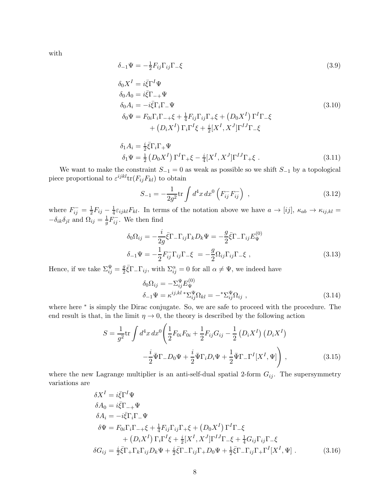with

$$
\delta_{-1}\Psi = -\frac{1}{2}F_{ij}\Gamma_{ij}\Gamma_{-}\xi\tag{3.9}
$$

$$
\delta_0 X^I = i \bar{\xi} \Gamma^I \Psi
$$
  
\n
$$
\delta_0 A_0 = i \bar{\xi} \Gamma_{-+} \Psi
$$
  
\n
$$
\delta_0 A_i = -i \bar{\xi} \Gamma_i \Gamma_{-} \Psi
$$
  
\n
$$
\delta_0 \Psi = F_{0i} \Gamma_i \Gamma_{-+} \xi + \frac{1}{4} F_{ij} \Gamma_{ij} \Gamma_{+} \xi + (D_0 X^I) \Gamma^I \Gamma_{-} \xi
$$
  
\n
$$
+ (D_i X^I) \Gamma_i \Gamma^I \xi + \frac{i}{2} [X^I, X^J] \Gamma^{IJ} \Gamma_{-} \xi
$$
\n(3.10)

$$
\delta_1 A_i = \frac{i}{2} \bar{\xi} \Gamma_i \Gamma_+ \Psi
$$
  
\n
$$
\delta_1 \Psi = \frac{1}{2} \left( D_0 X^I \right) \Gamma^I \Gamma_+ \xi - \frac{i}{4} [X^I, X^J] \Gamma^{IJ} \Gamma_+ \xi .
$$
\n(3.11)

We want to make the constraint  $S_{-1} = 0$  as weak as possible so we shift  $S_{-1}$  by a topological piece proportional to  $\varepsilon^{ijkl}$ tr $(F_{ij}F_{kl})$  to obtain

<span id="page-7-1"></span>
$$
S_{-1} = -\frac{1}{2g^2} \text{tr} \int d^4x \, dx^0 \left( F_{ij}^- F_{ij}^- \right) \tag{3.12}
$$

where  $F_{ij} = \frac{1}{2}F_{ij} - \frac{1}{4}\varepsilon_{ijkl}F_{kl}$ . In terms of the notation above we have  $a \to [ij]$ ,  $\kappa_{ab} \to \kappa_{ij,kl} =$  $-\delta_{ik}\delta_{jl}$  and  $\Omega_{ij} = \frac{1}{g}F_{ij}^{-}$ . We then find

$$
\delta_0 \Omega_{ij} = -\frac{i}{2g} \bar{\xi} \Gamma_- \Gamma_{ij} \Gamma_k D_k \Psi = -\frac{g}{2} \bar{\xi} \Gamma_- \Gamma_{ij} E^{(0)}_{\Psi}
$$
  

$$
\delta_{-1} \Psi = -\frac{1}{2} F_{ij}^- \Gamma_{ij} \Gamma_- \xi = -\frac{g}{2} \Omega_{ij} \Gamma_{ij} \Gamma_- \xi ,
$$
 (3.13)

Hence, if we take  $\Sigma_{ij}^{\Psi} = \frac{g}{2}$  $\frac{g}{2}\overline{\xi}\Gamma_{-}\Gamma_{ij}$ , with  $\Sigma_{ij}^{\alpha} = 0$  for all  $\alpha \neq \Psi$ , we indeed have

<span id="page-7-0"></span>
$$
\delta_0 \Omega_{ij} = -\Sigma_{ij}^{\Psi} E_{\Psi}^{(0)} \n\delta_{-1} \Psi = \kappa^{ij,kl} \sum_{ij}^{\Psi} \Omega_{kl} = -\omega^* \Sigma_{ij}^{\Psi} \Omega_{ij} ,
$$
\n(3.14)

where here <sup>\*</sup> is simply the Dirac conjugate. So, we are safe to proceed with the procedure. The end result is that, in the limit  $\eta \to 0$ , the theory is described by the following action

$$
S = \frac{1}{g^2} \text{tr} \int d^4 x \, dx^0 \left( \frac{1}{2} F_{0i} F_{0i} + \frac{1}{2} F_{ij} G_{ij} - \frac{1}{2} \left( D_i X^I \right) \left( D_i X^I \right) - \frac{i}{2} \bar{\Psi} \Gamma_- D_0 \Psi + \frac{i}{2} \bar{\Psi} \Gamma_i D_i \Psi + \frac{1}{2} \bar{\Psi} \Gamma_- \Gamma^I [X^I, \Psi] \right), \tag{3.15}
$$

where the new Lagrange multiplier is an anti-self-dual spatial 2-form  $G_{ij}$ . The supersymmetry variations are

$$
\delta X^{I} = i \bar{\xi} \Gamma^{I} \Psi
$$
  
\n
$$
\delta A_{0} = i \bar{\xi} \Gamma_{-+} \Psi
$$
  
\n
$$
\delta A_{i} = -i \bar{\xi} \Gamma_{i} \Gamma_{-} \Psi
$$
  
\n
$$
\delta \Psi = F_{0i} \Gamma_{i} \Gamma_{-+} \xi + \frac{1}{4} F_{ij} \Gamma_{ij} \Gamma_{+} \xi + (D_{0} X^{I}) \Gamma^{I} \Gamma_{-} \xi
$$
  
\n
$$
+ (D_{i} X^{I}) \Gamma_{i} \Gamma^{I} \xi + \frac{i}{2} [X^{I}, X^{J}] \Gamma^{I J} \Gamma_{-} \xi + \frac{1}{4} G_{ij} \Gamma_{ij} \Gamma_{-} \xi
$$
  
\n
$$
\delta G_{ij} = \frac{i}{2} \bar{\xi} \Gamma_{+} \Gamma_{k} \Gamma_{ij} D_{k} \Psi + \frac{i}{2} \bar{\xi} \Gamma_{-} \Gamma_{ij} \Gamma_{+} D_{0} \Psi + \frac{1}{2} \bar{\xi} \Gamma_{-} \Gamma_{ij} \Gamma_{+} \Gamma^{I} [X^{I}, \Psi]
$$
\n(3.16)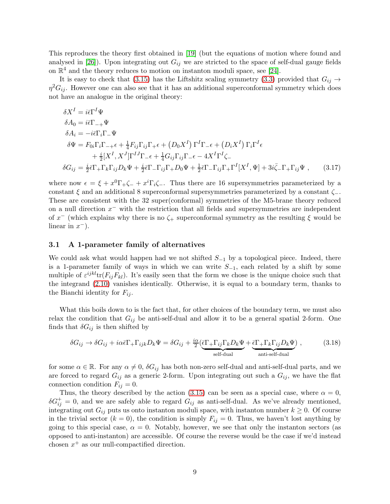This reproduces the theory first obtained in [\[19\]](#page-22-3) (but the equations of motion where found and analysed in [\[26\]](#page-23-1)). Upon integrating out  $G_{ij}$  we are stricted to the space of self-dual gauge fields on  $\mathbb{R}^4$  and the theory reduces to motion on instanton moduli space, see [\[24\]](#page-23-2).

It is easy to check that [\(3.15\)](#page-7-0) has the Liftshitz scaling symmetry [\(3.3\)](#page-6-0) provided that  $G_{ij} \rightarrow$  $\eta^2 G_{ij}$ . However one can also see that it has an additional superconformal symmetry which does not have an analogue in the original theory:

$$
\delta X^{I} = i\bar{\epsilon}\Gamma^{I}\Psi
$$
  
\n
$$
\delta A_{0} = i\bar{\epsilon}\Gamma_{-+}\Psi
$$
  
\n
$$
\delta A_{i} = -i\bar{\epsilon}\Gamma_{i}\Gamma_{-}\Psi
$$
  
\n
$$
\delta \Psi = F_{0i}\Gamma_{i}\Gamma_{-+}\epsilon + \frac{1}{4}F_{ij}\Gamma_{ij}\Gamma_{+}\epsilon + (D_{0}X^{I})\Gamma^{I}\Gamma_{-}\epsilon + (D_{i}X^{I})\Gamma_{i}\Gamma^{I}\epsilon
$$
  
\n
$$
+ \frac{i}{2}[X^{I}, X^{J}]\Gamma^{IJ}\Gamma_{-}\epsilon + \frac{1}{4}G_{ij}\Gamma_{ij}\Gamma_{-}\epsilon - 4X^{I}\Gamma^{I}\zeta_{-}
$$
  
\n
$$
\delta G_{ij} = \frac{i}{2}\bar{\epsilon}\Gamma_{+}\Gamma_{k}\Gamma_{ij}D_{k}\Psi + \frac{i}{2}\bar{\epsilon}\Gamma_{-}\Gamma_{ij}\Gamma_{+}D_{0}\Psi + \frac{1}{2}\bar{\epsilon}\Gamma_{-}\Gamma_{ij}\Gamma_{+}\Gamma^{I}[X^{I}, \Psi] + 3i\bar{\zeta}_{-}\Gamma_{+}\Gamma_{ij}\Psi , \qquad (3.17)
$$

where now  $\epsilon = \xi + x^0 \Gamma_+ \zeta_- + x^i \Gamma_i \zeta_-$ . Thus there are 16 supersymmetries parameterized by a constant  $\xi$  and an additional 8 superconformal supersymmetries parameterized by a constant  $\zeta$ . These are consistent with the 32 super(conformal) symmetries of the M5-brane theory reduced on a null direction  $x^-$  with the restriction that all fields and supersymmetries are independent of  $x^-$  (which explains why there is no  $\zeta_+$  superconformal symmetry as the resulting  $\xi$  would be linear in  $x^-$ ).

#### 3.1 A 1-parameter family of alternatives

We could ask what would happen had we not shifted  $S_{-1}$  by a topological piece. Indeed, there is a 1-parameter family of ways in which we can write  $S_{-1}$ , each related by a shift by some multiple of  $\varepsilon^{ijkl}$ tr $(F_{ij}F_{kl})$ . It's easily seen that the form we chose is the unique choice such that the integrand [\(2.10\)](#page-3-1) vanishes identically. Otherwise, it is equal to a boundary term, thanks to the Bianchi identity for  $F_{ij}$ .

What this boils down to is the fact that, for other choices of the boundary term, we must also relax the condition that  $G_{ij}$  be anti-self-dual and allow it to be a general spatial 2-form. One finds that  $\delta G_{ij}$  is then shifted by

$$
\delta G_{ij} \to \delta G_{ij} + i\alpha \bar{\epsilon} \Gamma_{+} \Gamma_{ijk} D_k \Psi = \delta G_{ij} + \frac{i\alpha}{2} \underbrace{(\bar{\epsilon} \Gamma_{+} \Gamma_{ij} \Gamma_k D_k \Psi}_{\text{self-dual}} + \underbrace{\bar{\epsilon} \Gamma_{+} \Gamma_k \Gamma_{ij} D_k \Psi}_{\text{anti-self-dual}}),
$$
(3.18)

for some  $\alpha \in \mathbb{R}$ . For any  $\alpha \neq 0$ ,  $\delta G_{ij}$  has both non-zero self-dual and anti-self-dual parts, and we are forced to regard  $G_{ij}$  as a generic 2-form. Upon integrating out such a  $G_{ij}$ , we have the flat connection condition  $F_{ij} = 0$ .

Thus, the theory described by the action [\(3.15\)](#page-7-0) can be seen as a special case, where  $\alpha = 0$ ,  $\delta G_{ij}^{+} = 0$ , and we are safely able to regard  $G_{ij}$  as anti-self-dual. As we've already mentioned, integrating out  $G_{ij}$  puts us onto instanton moduli space, with instanton number  $k \geq 0$ . Of course in the trivial sector  $(k = 0)$ , the condition is simply  $F_{ij} = 0$ . Thus, we haven't lost anything by going to this special case,  $\alpha = 0$ . Notably, however, we see that only the instanton sectors (as opposed to anti-instanton) are accessible. Of course the reverse would be the case if we'd instead chosen  $x^+$  as our null-compactified direction.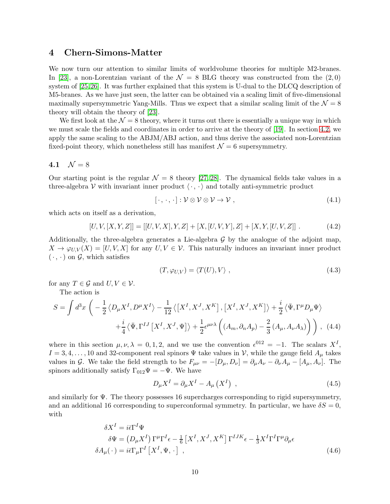# 4 Chern-Simons-Matter

We now turn our attention to similar limits of worldvolume theories for multiple M2-branes. In [\[23\]](#page-23-3), a non-Lorentzian variant of the  $\mathcal{N} = 8$  BLG theory was constructed from the (2,0) system of [\[25,](#page-23-4)[26\]](#page-23-1). It was further explained that this system is U-dual to the DLCQ description of M5-branes. As we have just seen, the latter can be obtained via a scaling limit of five-dimensional maximally supersymmetric Yang-Mills. Thus we expect that a similar scaling limit of the  $\mathcal{N} = 8$ theory will obtain the theory of [\[23\]](#page-23-3).

We first look at the  $\mathcal{N} = 8$  theory, where it turns out there is essentially a unique way in which we must scale the fields and coordinates in order to arrive at the theory of [\[19\]](#page-22-3). In section [4.2,](#page-14-0) we apply the same scaling to the ABJM/ABJ action, and thus derive the associated non-Lorentzian fixed-point theory, which nonetheless still has manifest  $\mathcal{N} = 6$  supersymmetry.

### 4.1  $\mathcal{N} = 8$

Our starting point is the regular  $\mathcal{N} = 8$  theory [\[27,](#page-23-5) [28\]](#page-23-6). The dynamical fields take values in a three-algebra V with invariant inner product  $\langle \cdot, \cdot \rangle$  and totally anti-symmetric product

$$
[\cdot,\cdot,\cdot]:\mathcal{V}\otimes\mathcal{V}\otimes\mathcal{V}\to\mathcal{V},\qquad(4.1)
$$

which acts on itself as a derivation,

$$
[U, V, [X, Y, Z]] = [[U, V, X], Y, Z] + [X, [U, V, Y], Z] + [X, Y, [U, V, Z]]
$$
\n(4.2)

Additionally, the three-algebra generates a Lie-algebra  $\mathcal G$  by the analogue of the adjoint map,  $X \to \varphi_{U,V}(X) = [U, V, X]$  for any  $U, V \in \mathcal{V}$ . This naturally induces an invariant inner product  $(\cdot, \cdot)$  on  $\mathcal{G}$ , which satisfies

$$
(T, \varphi_{U,V}) = \langle T(U), V \rangle , \qquad (4.3)
$$

for any  $T \in \mathcal{G}$  and  $U, V \in \mathcal{V}$ .

The action is

$$
S = \int d^3x \left( -\frac{1}{2} \langle D_{\mu} X^I, D^{\mu} X^I \rangle - \frac{1}{12} \langle \left[ X^I, X^J, X^K \right], \left[ X^I, X^J, X^K \right] \rangle + \frac{i}{2} \langle \bar{\Psi}, \Gamma^{\mu} D_{\mu} \Psi \rangle \right. \\ \left. + \frac{i}{4} \langle \bar{\Psi}, \Gamma^{IJ} \left[ X^I, X^J, \Psi \right] \rangle + \frac{1}{2} \epsilon^{\mu \nu \lambda} \left( (A_m, \partial_n A_p) - \frac{2}{3} \left( A_\mu, A_\nu A_\lambda \right) \right) \right), \tag{4.4}
$$

where in this section  $\mu, \nu, \lambda = 0, 1, 2$ , and we use the convention  $\epsilon^{012} = -1$ . The scalars  $X^I$ ,  $I = 3, 4, \ldots, 10$  and 32-component real spinors  $\Psi$  take values in V, while the gauge field  $A_\mu$  takes values in G. We take the field strength to be  $F_{\mu\nu} = -[D_{\mu}, D_{\nu}] = \partial_{\mu}A_{\nu} - \partial_{\nu}A_{\mu} - [A_{\mu}, A_{\nu}]$ . The spinors additionally satisfy  $\Gamma_{012}\Psi = -\Psi$ . We have

$$
D_{\mu}X^{I} = \partial_{\mu}X^{I} - A_{\mu}\left(X^{I}\right) , \qquad (4.5)
$$

and similarly for Ψ. The theory possesses 16 supercharges corresponding to rigid supersymmetry, and an additional 16 corresponding to superconformal symmetry. In particular, we have  $\delta S = 0$ , with

$$
\delta X^{I} = i\bar{\epsilon}\Gamma^{I}\Psi
$$
  
\n
$$
\delta\Psi = (D_{\mu}X^{I})\Gamma^{\mu}\Gamma^{I}\epsilon - \frac{1}{6}\left[X^{I}, X^{J}, X^{K}\right]\Gamma^{IJK}\epsilon - \frac{1}{3}X^{I}\Gamma^{I}\Gamma^{\mu}\partial_{\mu}\epsilon
$$
  
\n
$$
\delta A_{\mu}(\cdot) = i\bar{\epsilon}\Gamma_{\mu}\Gamma^{I}\left[X^{I}, \Psi, \cdot\right],
$$
\n(4.6)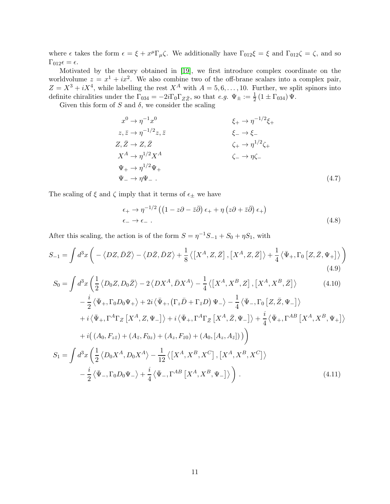where  $\epsilon$  takes the form  $\epsilon = \xi + x^{\mu} \Gamma_{\mu} \zeta$ . We additionally have  $\Gamma_{012} \xi = \xi$  and  $\Gamma_{012} \zeta = \zeta$ , and so  $\Gamma_{012}\epsilon = \epsilon.$ 

Motivated by the theory obtained in [\[19\]](#page-22-3), we first introduce complex coordinate on the worldvolume  $z = x^1 + ix^2$ . We also combine two of the off-brane scalars into a complex pair,  $Z = X^3 + iX^4$ , while labelling the rest  $X^A$  with  $A = 5, 6, \ldots, 10$ . Further, we split spinors into definite chiralities under the  $\Gamma_{034} = -2i\Gamma_0\Gamma_{Z\bar{Z}}$ , so that  $e.g. \Psi_{\pm} := \frac{1}{2} (1 \pm \Gamma_{034}) \Psi$ .

Given this form of S and  $\delta$ , we consider the scaling

$$
x^{0} \rightarrow \eta^{-1} x^{0}
$$
  
\n
$$
z, \bar{z} \rightarrow \eta^{-1/2} z, \bar{z}
$$
  
\n
$$
z, \bar{z} \rightarrow \eta^{-1/2} z, \bar{z}
$$
  
\n
$$
z, \bar{z} \rightarrow Z, \bar{Z}
$$
  
\n
$$
x^{A} \rightarrow \eta^{1/2} X^{A}
$$
  
\n
$$
\Psi_{+} \rightarrow \eta^{1/2} \Psi_{+}
$$
  
\n
$$
\Psi_{-} \rightarrow \eta \Psi_{-}.
$$
  
\n
$$
(4.7)
$$

The scaling of  $\xi$  and<br>  $\zeta$  imply that it terms of  $\epsilon_\pm$  we have

$$
\epsilon_{+} \to \eta^{-1/2} \left( \left( 1 - z\partial - \bar{z}\bar{\partial} \right) \epsilon_{+} + \eta \left( z\partial + \bar{z}\bar{\partial} \right) \epsilon_{+} \right) \n\epsilon_{-} \to \epsilon_{-} .
$$
\n(4.8)

After this scaling, the action is of the form  $S = \eta^{-1}S_{-1} + S_0 + \eta S_1$ , with

$$
S_{-1} = \int d^3x \left( -\langle DZ, \bar{D}\bar{Z} \rangle - \langle D\bar{Z}, \bar{D}Z \rangle + \frac{1}{8} \langle \left[ X^A, Z, \bar{Z} \right], \left[ X^A, Z, \bar{Z} \right] \rangle + \frac{1}{4} \langle \bar{\Psi}_+, \Gamma_0 \left[ Z, \bar{Z}, \Psi_+ \right] \rangle \right) \tag{4.9}
$$

$$
S_0 = \int d^3x \left( \frac{1}{2} \left\langle D_0 Z, D_0 \bar{Z} \right\rangle - 2 \left\langle D X^A, \bar{D} X^A \right\rangle - \frac{1}{4} \left\langle \left[ X^A, X^B, Z \right], \left[ X^A, X^B, \bar{Z} \right] \right\rangle \right) \tag{4.10}
$$

$$
-\frac{i}{2}\langle\bar{\Psi}_{+},\Gamma_{0}D_{0}\Psi_{+}\rangle+2i\langle\bar{\Psi}_{+},\left(\Gamma_{z}\bar{D}+\Gamma_{\bar{z}}D\right)\Psi_{-}\rangle-\frac{1}{4}\langle\bar{\Psi}_{-},\Gamma_{0}\left[Z,\bar{Z},\Psi_{-}\right]\rangle
$$

$$
+i\langle\bar{\Psi}_{+},\Gamma^{A}\Gamma_{Z}\left[X^{A},Z,\Psi_{-}\right]\rangle+i\langle\bar{\Psi}_{+},\Gamma^{A}\Gamma_{\bar{Z}}\left[X^{A},\bar{Z},\Psi_{-}\right]\rangle+\frac{i}{4}\langle\bar{\Psi}_{+},\Gamma^{AB}\left[X^{A},X^{B},\Psi_{+}\right]\rangle
$$

$$
+i\left((A_{0},F_{z\bar{z}})+(A_{\bar{z}},F_{0z})+(A_{z},F_{\bar{z}0})+(A_{0},[A_{z},A_{\bar{z}}])\right)\right)
$$

$$
S_{1} = \int d^{3}x\left(\frac{1}{2}\langle D_{0}X^{A},D_{0}X^{A}\rangle-\frac{1}{12}\langle\left[X^{A},X^{B},X^{C}\right],\left[X^{A},X^{B},X^{C}\right]\rangle\right)
$$

$$
-\frac{i}{2}\langle\bar{\Psi}_{-},\Gamma_{0}D_{0}\Psi_{-}\rangle+\frac{i}{4}\langle\bar{\Psi}_{-},\Gamma^{AB}\left[X^{A},X^{B},\Psi_{-}\right]\rangle\right).
$$
(4.11)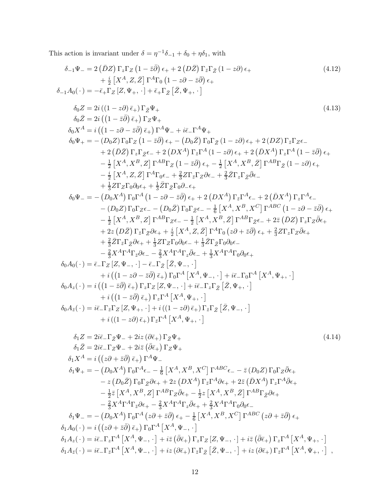This action is invariant under  $\delta = \eta^{-1}\delta_{-1} + \delta_0 + \eta \delta_1$ , with

$$
\delta_{-1}\Psi_{-} = 2(\bar{D}Z)\Gamma_{z}\Gamma_{Z}(1-z\bar{\partial})\epsilon_{+} + 2(\bar{D}\bar{Z})\Gamma_{z}\Gamma_{Z}(1-z\partial)\epsilon_{+} \qquad (4.12)
$$
\n
$$
+\frac{1}{2}[X^{A}, Z, \bar{Z}] \Gamma^{A}\Gamma_{0}(1-z\partial - \bar{z}\bar{\partial})\epsilon_{+} \qquad (4.12)
$$
\n
$$
\delta_{-1}A_{0}(\cdot) = -\bar{\epsilon}_{+1}\Gamma_{Z}[Z, \Psi_{+}, \cdot] + \bar{\epsilon}_{+1}\Gamma_{Z}[\bar{Z}, \Psi_{+}, \cdot] \qquad (4.13)
$$
\n
$$
\delta_{0}Z = 2i((1-z\bar{\partial})\bar{\epsilon}_{+})\Gamma_{Z}\Psi_{+} \qquad (4.13)
$$
\n
$$
\delta_{0}Z = 2i((1-z\bar{\partial})\bar{\epsilon}_{+})\Gamma_{Z}\Psi_{+} \qquad (4.13)
$$
\n
$$
\delta_{0}Z = 2i((1-z\bar{\partial})\bar{\epsilon}_{+})\Gamma_{Z}\Psi_{+} \qquad (4.13)
$$
\n
$$
\delta_{0}Z = 2i((1-z\bar{\partial})\bar{\epsilon}_{+})\Gamma_{Z}\Psi_{+} \qquad (4.14)
$$
\n
$$
-\frac{1}{2}[X^{A}, X^{B}, Z]\Gamma^{A} \Psi_{-} + i\bar{\epsilon}_{-1}\Gamma^{A}\Psi_{+} \qquad -\bar{\epsilon}_{2}\bar{\rho}\Gamma_{A}(\Gamma_{+}z\bar{\partial})\epsilon_{+} + 2(\bar{D}X^{A})\Gamma_{z}\Gamma_{A}A(\Gamma_{-}z\bar{\partial})\epsilon_{+} + \frac{1}{2}[\bar{X}^{A}, X^{B}, Z]\Gamma^{A} \Gamma_{Z}(\Gamma_{-}z\bar{\partial})\epsilon_{+} + \frac{1}{2}[\bar{X}^{A}, X^{B}, Z]\Gamma^{A} \Gamma_{Z}(\Gamma_{-}z\bar{\partial})\epsilon_{+} + \frac{1}{2}[\bar{X}^{A}, X^{B}, Z]\Gamma^{A} \Gamma_{Z}(\Gamma_{-}z\bar{\partial})\epsilon_{+} + \frac{1}{2}[\bar{X}^{A}, X^{B}, Z]\Gamma^{A} \Gamma_{Z}(\Gamma_{-}z\bar{\partial})\epsilon_{+} + \frac{1}{2}[\bar{X}^{A}, X^{B
$$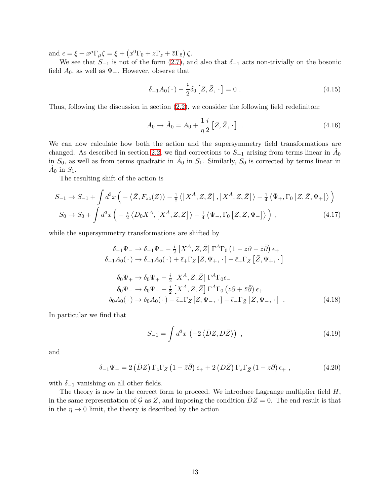and  $\epsilon = \xi + x^{\mu} \Gamma_{\mu} \zeta = \xi + \left( x^{0} \Gamma_{0} + z \Gamma_{z} + \bar{z} \Gamma_{\bar{z}} \right) \zeta.$ 

We see that  $S_{-1}$  is not of the form [\(2.7\)](#page-2-2), and also that  $\delta_{-1}$  acts non-trivially on the bosonic field  $A_0$ , as well as  $\Psi$ <sub>−</sub>. However, observe that

$$
\delta_{-1}A_0(\,\cdot\,)-\frac{i}{2}\delta_0\left[Z,\bar{Z},\,\cdot\,\right]=0\ .\tag{4.15}
$$

Thus, following the discussion in section [\(2.2\)](#page-4-1), we consider the following field redefiniton:

$$
A_0 \to \hat{A}_0 = A_0 + \frac{1}{\eta} \frac{i}{2} [Z, \bar{Z}, \cdot] . \tag{4.16}
$$

We can now calculate how both the action and the supersymmetry field transformations are changed. As described in section [2.2,](#page-4-1) we find corrections to  $S_{-1}$  arising from terms linear in  $\hat{A}_0$ in  $S_0$ , as well as from terms quadratic in  $\hat{A}_0$  in  $S_1$ . Similarly,  $S_0$  is corrected by terms linear in  $\hat{A}_0$  in  $S_1$ .

The resulting shift of the action is

$$
S_{-1} \rightarrow S_{-1} + \int d^3x \left( -\langle \bar{Z}, F_{z\bar{z}}(Z) \rangle - \frac{1}{8} \langle \left[ X^A, Z, \bar{Z} \right], \left[ X^A, Z, \bar{Z} \right] \rangle - \frac{1}{4} \langle \bar{\Psi}_+, \Gamma_0 \left[ Z, \bar{Z}, \Psi_+ \right] \rangle \right)
$$
  

$$
S_0 \rightarrow S_0 + \int d^3x \left( -\frac{i}{2} \langle D_0 X^A, \left[ X^A, Z, \bar{Z} \right] \rangle - \frac{1}{4} \langle \bar{\Psi}_-, \Gamma_0 \left[ Z, \bar{Z}, \Psi_- \right] \rangle \right), \tag{4.17}
$$

while the supersymmetry transformations are shifted by

$$
\delta_{-1}\Psi_{-} \rightarrow \delta_{-1}\Psi_{-} - \frac{i}{2} \left[ X^{A}, Z, \bar{Z} \right] \Gamma^{A} \Gamma_{0} \left( 1 - z\partial - \bar{z}\bar{\partial} \right) \epsilon_{+} \n\delta_{-1}A_{0}(\cdot) \rightarrow \delta_{-1}A_{0}(\cdot) + \bar{\epsilon}_{+}\Gamma_{Z} \left[ Z, \Psi_{+}, \cdot \right] - \bar{\epsilon}_{+}\Gamma_{\bar{Z}} \left[ \bar{Z}, \Psi_{+}, \cdot \right] \n\delta_{0}\Psi_{+} \rightarrow \delta_{0}\Psi_{+} - \frac{i}{2} \left[ X^{A}, Z, \bar{Z} \right] \Gamma^{A} \Gamma_{0} \epsilon_{-} \n\delta_{0}\Psi_{-} \rightarrow \delta_{0}\Psi_{-} - \frac{i}{2} \left[ X^{A}, Z, \bar{Z} \right] \Gamma^{A} \Gamma_{0} \left( z\partial + \bar{z}\bar{\partial} \right) \epsilon_{+} \n\delta_{0}A_{0}(\cdot) \rightarrow \delta_{0}A_{0}(\cdot) + \bar{\epsilon}_{-}\Gamma_{Z} \left[ Z, \Psi_{-}, \cdot \right] - \bar{\epsilon}_{-}\Gamma_{\bar{Z}} \left[ \bar{Z}, \Psi_{-}, \cdot \right] \ .
$$
\n(4.18)

In particular we find that

$$
S_{-1} = \int d^3x \, \left(-2\left\langle \bar{D}Z, D\bar{Z} \right\rangle\right) \tag{4.19}
$$

and

$$
\delta_{-1}\Psi_{-} = 2\left(\bar{D}Z\right)\Gamma_{z}\Gamma_{Z}\left(1-\bar{z}\bar{\partial}\right)\epsilon_{+} + 2\left(D\bar{Z}\right)\Gamma_{\bar{z}}\Gamma_{\bar{Z}}\left(1-z\partial\right)\epsilon_{+}\,,\tag{4.20}
$$

with  $\delta_{-1}$  vanishing on all other fields.

The theory is now in the correct form to proceed. We introduce Lagrange multiplier field  $H$ , in the same representation of G as Z, and imposing the condition  $DZ=0$ . The end result is that in the  $\eta \to 0$  limit, the theory is described by the action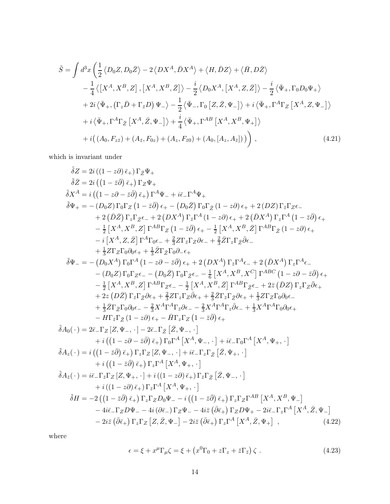$$
\tilde{S} = \int d^3x \left( \frac{1}{2} \langle D_0 Z, D_0 \bar{Z} \rangle - 2 \langle DX^A, \bar{D}X^A \rangle + \langle H, \bar{D}Z \rangle + \langle \bar{H}, D\bar{Z} \rangle \right)
$$
  
\n
$$
- \frac{1}{4} \langle \left[ X^A, X^B, Z \right], \left[ X^A, X^B, \bar{Z} \right] \rangle - \frac{i}{2} \langle D_0 X^A, \left[ X^A, Z, \bar{Z} \right] \rangle - \frac{i}{2} \langle \bar{\Psi}_+, \Gamma_0 D_0 \Psi_+ \rangle
$$
  
\n
$$
+ 2i \langle \bar{\Psi}_+, (\Gamma_z \bar{D} + \Gamma_{\bar{z}} D) \Psi_- \rangle - \frac{1}{2} \langle \bar{\Psi}_-, \Gamma_0 \left[ Z, \bar{Z}, \Psi_- \right] \rangle + i \langle \bar{\Psi}_+, \Gamma^A \Gamma_Z \left[ X^A, Z, \Psi_- \right] \rangle
$$
  
\n
$$
+ i \langle \bar{\Psi}_+, \Gamma^A \Gamma_{\bar{Z}} \left[ X^A, \bar{Z}, \Psi_- \right] \rangle + \frac{i}{4} \langle \bar{\Psi}_+, \Gamma^{AB} \left[ X^A, X^B, \Psi_+ \right] \rangle
$$
  
\n
$$
+ i \left( (A_0, F_{z\bar{z}}) + (A_{\bar{z}}, F_{0z}) + (A_z, F_{\bar{z}0}) + (A_0, [A_z, A_{\bar{z}}]) \right) \right),
$$
 (4.21)

which is invariant under

$$
\tilde{\delta Z} = 2i((1 - \bar{z}\partial)\bar{\epsilon}_{+})\Gamma_{Z}\Psi_{+}
$$
\n
$$
\tilde{\delta Z} = 2i((1 - \bar{z}\partial)\bar{\epsilon}_{+})\Gamma_{Z}\Psi_{+}
$$
\n
$$
\tilde{\delta X}^{A} = i((1 - z\partial - \bar{z}\partial)\bar{\epsilon}_{+})\Gamma^{A}\Psi_{-} + i\bar{\epsilon}_{-}\Gamma^{A}\Psi_{+}
$$
\n
$$
\tilde{\delta X}^{A} = i((1 - z\partial - \bar{z}\partial)\bar{\epsilon}_{+})\Gamma^{A}\Psi_{-} + i\bar{\epsilon}_{-}\Gamma^{A}\Psi_{+}
$$
\n
$$
\tilde{\delta}\Psi_{+} = -(D_{0}Z)\Gamma_{0}\Gamma_{Z}(1 - \bar{z}\partial)\epsilon_{+} - (D_{0}\bar{Z})\Gamma_{0}\Gamma_{Z}(1 - z\partial)\epsilon_{+} + 2(DZ)\Gamma_{\bar{z}}\Gamma_{Z}\epsilon_{-}
$$
\n
$$
+ 2(D\bar{Z})\Gamma_{\bar{z}}\Gamma_{Z}\epsilon_{-} + 2(DX^{A})\Gamma_{\bar{z}}\Gamma^{A}(1 - z\partial)\epsilon_{+} + 2(DX^{A})\Gamma_{\bar{z}}\Gamma^{A}(1 - \bar{z}\partial)\epsilon_{+}
$$
\n
$$
-\frac{1}{2}\left[X^{A}, X^{B}, Z\right]\Gamma^{AB}\Gamma_{Z}(1 - \bar{z}\partial)\epsilon_{+} - \frac{1}{2}\left[X^{A}, X^{B}, \bar{Z}\right]\Gamma^{AB}\Gamma_{Z}(1 - z\partial)\epsilon_{+}
$$
\n
$$
-i\left[X^{A}, Z, \bar{Z}\right]\Gamma^{A}\Gamma_{0}\epsilon_{-} + \frac{2}{3}Z\Gamma_{\bar{z}}\Gamma_{2}\partial\epsilon_{-} + \frac{2}{3}Z\Gamma_{z}\Gamma_{\bar{Z}}\partial\epsilon_{-}
$$
\n
$$
+\frac{1}{3}Z\Gamma_{Z}\Gamma_{0}\partial_{0}\epsilon_{+} + \frac{1}{3}Z\Gamma_{Z}\Gamma_{0}\partial_{-}\epsilon_{+}
$$
\n
$$
- (D_{0}Z)\Gamma_{0}\Gamma_{Z}\epsilon_{-} - (D_{0}\bar{Z})\Gamma_{0}\Gamma_{\bar{z}}\epsilon_{-} - \frac{1}{6}\left[X^{A}, X^{B}, X^{C}\right]\Gamma^{ABC}(1 - z\partial - \bar{z}\bar{\partial})\epsilon_{+}
$$

where

$$
\epsilon = \xi + x^{\mu} \Gamma_{\mu} \zeta = \xi + \left( x^{0} \Gamma_{0} + z \Gamma_{z} + \bar{z} \Gamma_{\bar{z}} \right) \zeta . \tag{4.23}
$$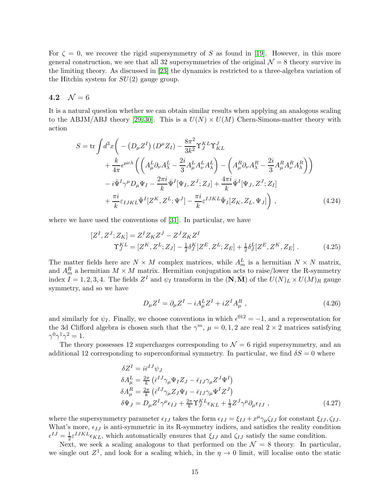For  $\zeta = 0$ , we recover the rigid supersymmetry of S as found in [\[19\]](#page-22-3). However, in this more general construction, we see that all 32 supersymmetries of the original  $\mathcal{N} = 8$  theory survive in the limiting theory. As discussed in [\[23\]](#page-23-3) the dynamics is restricted to a three-algebra variation of the Hitchin system for  $SU(2)$  gauge group.

#### <span id="page-14-0"></span>4.2  $\mathcal{N} = 6$

It is a natural question whether we can obtain similar results when applying an analogous scaling to the ABJM/ABJ theory [\[29,](#page-23-7) [30\]](#page-23-8). This is a  $U(N) \times U(M)$  Chern-Simons-matter theory with action

$$
S = \text{tr}\int d^3x \bigg( -\left(D_\mu Z^I\right) \left(D^\mu Z_I\right) - \frac{8\pi^2}{3k^2} \Upsilon_J^{KL} \Upsilon_{KL}^J
$$
  
+ 
$$
\frac{k}{4\pi} \epsilon^{\mu\nu\lambda} \left( \left(A_\mu^L \partial_\nu A_\lambda^L - \frac{2i}{3} A_\mu^L A_\nu^L A_\lambda^L \right) - \left(A_\mu^R \partial_\nu A_\lambda^R - \frac{2i}{3} A_\mu^R A_\nu^R A_\lambda^R \right) \right)
$$
  
- 
$$
i\bar{\Psi}^I \gamma^\mu D_\mu \Psi_I - \frac{2\pi i}{k} \bar{\Psi}^I [\Psi_I, Z^J; Z_J] + \frac{4\pi i}{k} \bar{\Psi}^I [\Psi_J, Z^J; Z_I]
$$
  
+ 
$$
\frac{\pi i}{k} \varepsilon_{IJKL} \bar{\Psi}^I [Z^K, Z^L; \Psi^J] - \frac{\pi i}{k} \varepsilon^{IJKL} \bar{\Psi}_I [Z_K, Z_L, \Psi_J] \bigg) , \tag{4.24}
$$

where we have used the conventions of [\[31\]](#page-23-9). In particular, we have

$$
[Z^{I}, Z^{J}; Z_{K}] = Z^{I} Z_{K} Z^{J} - Z^{J} Z_{K} Z^{I}
$$
  
\n
$$
\Upsilon_{J}^{KL} = [Z^{K}, Z^{L}; Z_{J}] - \frac{1}{2} \delta_{J}^{K} [Z^{E}, Z^{L}; Z_{E}] + \frac{1}{2} \delta_{J}^{L} [Z^{E}, Z^{K}, Z_{E}].
$$
\n(4.25)

The matter fields here are  $N \times M$  complex matrices, while  $A_m^L$  is a hermitian  $N \times N$  matrix, and  $A_m^R$  a hermitian  $M \times M$  matrix. Hermitian conjugation acts to raise/lower the R-symmetry index  $I = 1, 2, 3, 4$ . The fields  $Z<sup>I</sup>$  and  $\psi_I$  transform in the  $(N, \overline{M})$  of the  $U(N)_L \times U(M)_R$  gauge symmetry, and so we have

$$
D_{\mu}Z^{I} = \partial_{\mu}Z^{I} - iA_{\mu}^{L}Z^{I} + iZ^{I}A_{\mu}^{R} , \qquad (4.26)
$$

and similarly for  $\psi_I$ . Finally, we choose conventions in which  $\epsilon^{012} = -1$ , and a representation for the 3d Clifford algebra is chosen such that the  $\gamma^m$ ,  $\mu = 0, 1, 2$  are real  $2 \times 2$  matrices satisfying  $\gamma^0 \gamma^1 \gamma^2 = 1.$ 

The theory possesses 12 supercharges corresponding to  $\mathcal{N} = 6$  rigid supersymmetry, and an additional 12 corresponding to superconformal symmetry. In particular, we find  $\delta S = 0$  where

$$
\delta Z^{I} = i\bar{\epsilon}^{IJ}\psi_{J}
$$
\n
$$
\delta A^{L}_{\mu} = \frac{2\pi}{k} \left( \bar{\epsilon}^{IJ}\gamma_{\mu}\Psi_{I}Z_{J} - \bar{\epsilon}_{IJ}\gamma_{\mu}Z^{J}\Psi^{I} \right)
$$
\n
$$
\delta A^{R}_{\mu} = \frac{2\pi}{k} \left( \bar{\epsilon}^{IJ}\gamma_{\mu}Z_{J}\Psi_{I} - \bar{\epsilon}_{IJ}\gamma_{\mu}\Psi^{I}Z^{J} \right)
$$
\n
$$
\delta\Psi_{J} = D_{\mu}Z^{I}\gamma^{\mu}\epsilon_{IJ} + \frac{2\pi}{k}\Upsilon^{KL}_{J}\epsilon_{KL} + \frac{1}{3}Z^{J}\gamma^{\mu}\partial_{\mu}\epsilon_{IJ} ,
$$
\n(4.27)

where the supersymmetry parameter  $\epsilon_{IJ}$  takes the form  $\epsilon_{IJ} = \xi_{IJ} + x^{\mu} \gamma_{\mu} \zeta_{IJ}$  for constant  $\xi_{IJ}, \zeta_{IJ}$ . What's more,  $\epsilon_{IJ}$  is anti-symmetric in its R-symmetry indices, and satisfies the reality condition  $\epsilon^{IJ} = \frac{1}{2} \epsilon^{IJKL} \epsilon_{KL}$ , which automatically ensures that  $\xi_{IJ}$  and  $\zeta_{IJ}$  satisfy the same condition.

Next, we seek a scaling analogous to that performed on the  $\mathcal{N} = 8$  theory. In particular, we single out  $Z^1$ , and look for a scaling which, in the  $\eta \to 0$  limit, will localise onto the static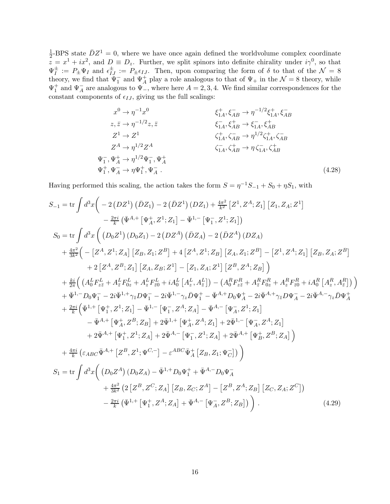1  $\frac{1}{2}$ -BPS state  $\bar{D}Z^1 = 0$ , where we have once again defined the worldvolume complex coordinate  $\overline{z} = x^1 + ix^2$ , and  $D \equiv D_z$ . Further, we split spinors into definite chirality under  $i\gamma^0$ , so that  $\Psi_I^{\pm} := P_{\pm} \Psi_I$  and  $\epsilon_{IJ}^{\pm} := P_{\pm} \epsilon_{IJ}$ . Then, upon comparing the form of  $\delta$  to that of the  $\mathcal{N} = 8$ theory, we find that  $\Psi_1^-$  and  $\Psi_A^+$  play a role analogous to that of  $\Psi_+$  in the  $\mathcal{N}=8$  theory, while  $\Psi_1^+$  and  $\Psi_A^-$  are analogous to  $\Psi_-,$  where here  $A = 2, 3, 4$ . We find similar correspondences for the constant components of  $\epsilon_{IJ}$ , giving us the full scalings:

$$
x^{0} \to \eta^{-1} x^{0}
$$
\n
$$
z, \bar{z} \to \eta^{-1/2} z, \bar{z}
$$
\n
$$
z^{1} \to Z^{1}
$$
\n
$$
z^{1} \to Z^{1}
$$
\n
$$
z^{1} \to \eta^{1/2} Z^{A}
$$
\n
$$
z^{1} \to \eta^{1/2} Z^{A}
$$
\n
$$
z^{1} \to \eta^{1/2} Z^{A}
$$
\n
$$
z^{1} \to \eta^{1/2} Z^{A}
$$
\n
$$
z^{1} \to \eta^{1/2} Z^{A}
$$
\n
$$
z^{1} \to \eta^{1/2} \Psi_{1}^{-}, \Psi_{A}^{+}
$$
\n
$$
z^{1} \to \eta^{1/2} \Psi_{1}^{-}, \Psi_{A}^{+}
$$
\n
$$
z^{1} \to \eta \Psi_{1}^{+}, \Psi_{A}^{-}
$$
\n
$$
(4.28)
$$

Having performed this scaling, the action takes the form  $S = \eta^{-1}S_{-1} + S_0 + \eta S_1$ , with

Ψ

Ψ

$$
S_{-1} = \text{tr} \int d^{3}x \left( -2\left(DZ^{1}\right)\left(DZ_{1}\right) - 2\left(DZ^{1}\right)\left(DZ_{1}\right) + \frac{4\pi^{2}}{k^{2}}\left[Z^{1}, Z^{A}; Z_{1}\right]\left[Z_{1}, Z_{A}; Z^{1}\right] \right) - \frac{2\pi i}{k} \left(\bar{\Psi}^{A,+} \left[\Psi_{A}^{+}, Z^{1}; Z_{1}\right] - \bar{\Psi}^{1,-} \left[\Psi_{1}^{-}, Z^{1}; Z_{1}\right] \right) S_{0} = \text{tr} \int d^{3}x \left( \left(D_{0}Z^{1}\right)\left(D_{0}Z_{1}\right) - 2\left(DZ^{A}\right)\left(DZ_{A}\right) - 2\left(\bar{D}Z^{A}\right)\left(DZ_{A}\right) \right) + \frac{4\pi^{2}}{3k^{2}} \left( -\left[Z^{A}, Z^{1}; Z_{A}\right]\left[Z_{B}, Z_{1}; Z^{B}\right] + 4\left[Z^{A}, Z^{1}; Z_{B}\right]\left[Z_{A}, Z_{1}; Z^{B}\right] - \left[Z^{1}, Z^{A}; Z_{1}\right]\left[Z_{B}, Z_{A}; Z^{B}\right] + 2\left[Z^{A}, Z^{B}; Z_{1}\right]\left[Z_{A}, Z_{B}; Z^{1}\right] - \left[Z_{1}, Z_{A}; Z^{1}\right]\left[Z^{B}, Z^{A}; Z_{B}\right] \right) + \frac{k\pi}{2\pi} \left( \left(A_{0}^{L}F_{zz}^{L} + A_{z}^{L}F_{2z}^{L} + A_{z}^{L}F_{20}^{L} + iA_{0}^{L}\left[A_{z}^{L}, A_{\bar{z}}^{L}\right] \right) - \left(A_{0}^{R}F_{zz}^{R} + A_{z}^{R}F_{0z}^{R} + A_{z}^{R}F_{0z}^{R} + iA_{0}^{R}\left[A_{z}^{R}, A_{\bar{z}}^{R}\right] \right) \right) + \frac{\pi^{1}}{2\pi} \left( \left(\frac{A_{0}^{L}F_{zz}^{L} + A_{z}^{L}F_{0z}^{L} + A_{z}^{L}F_{0z}^{L} + iA_{z}^{L}F_{0z}^{L} + iA_{z}^{L}F_{0z}^{L} + iA_{z}^{L
$$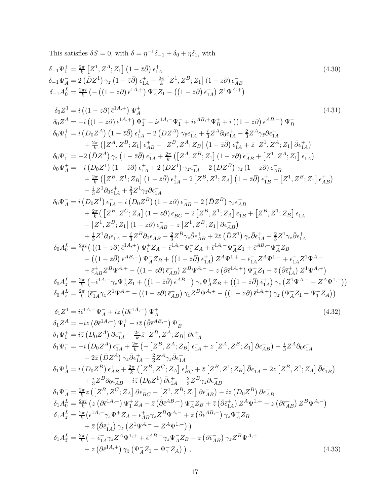This satisfies  $\delta S = 0$ , with  $\delta = \eta^{-1}\delta_{-1} + \delta_0 + \eta \delta_1$ , with

δ−1Ψ + <sup>1</sup> = <sup>2</sup><sup>π</sup> k -Z 1 , ZA;Z<sup>1</sup> <sup>1</sup> <sup>−</sup> <sup>z</sup>¯∂¯ ǫ + 1A (4.30) δ−1Ψ − <sup>A</sup> = 2 DZ¯ <sup>1</sup> γz <sup>1</sup> <sup>−</sup> <sup>z</sup>¯∂¯ ǫ + <sup>1</sup><sup>A</sup> <sup>−</sup> <sup>2</sup><sup>π</sup> k -Z 1 , ZB;Z<sup>1</sup> (1 − z∂) ǫ − AB δ−1A L <sup>0</sup> = <sup>2</sup>πi k − (1 − z∂) ¯ǫ 1A,+ Ψ + <sup>A</sup>Z<sup>1</sup> − <sup>1</sup> <sup>−</sup> <sup>z</sup>¯∂¯ ǫ¯ + 1A Z <sup>1</sup>Ψ A,+ δ0Z <sup>1</sup> = i (1 − z∂) ¯ǫ 1A,+ Ψ + A (4.31) δ0Z <sup>A</sup> <sup>=</sup> <sup>−</sup><sup>i</sup> (1 − z∂) ¯ǫ 1A,+ Ψ + <sup>1</sup> − iǫ¯ <sup>1</sup>A,−Ψ − <sup>1</sup> + iǫ¯ AB,+Ψ + <sup>B</sup> + i <sup>1</sup> <sup>−</sup> <sup>z</sup>¯∂¯ ǫ¯ AB,− Ψ − B δ0Ψ + <sup>1</sup> = i D0Z A <sup>1</sup> <sup>−</sup> <sup>z</sup>¯∂¯ ǫ + <sup>1</sup><sup>A</sup> − 2 DZ<sup>A</sup> γz¯ǫ − <sup>1</sup><sup>A</sup> + i 3 Z <sup>A</sup>∂0ǫ + 1A − 2 3 Z <sup>A</sup>γz¯∂ǫ<sup>−</sup> 1A + 2π k -Z <sup>A</sup>, ZB;Z<sup>1</sup> ǫ + AB − -Z <sup>B</sup>, ZA;Z<sup>B</sup> <sup>1</sup> <sup>−</sup> <sup>z</sup>¯∂¯ ǫ + <sup>1</sup><sup>A</sup> + ¯z -Z 1 , ZA;Z<sup>1</sup> ∂ǫ¯ <sup>+</sup> 1A δ0Ψ − <sup>1</sup> = −2 DZ¯ <sup>A</sup> γz <sup>1</sup> <sup>−</sup> <sup>z</sup>¯∂¯ ǫ + <sup>1</sup><sup>A</sup> + 2π k -Z <sup>A</sup>, ZB;Z<sup>1</sup> (1 − z∂) ǫ − AB + -Z 1 , ZA;Z<sup>1</sup> ǫ − 1A δ0Ψ + <sup>A</sup> = −i D0Z 1 <sup>1</sup> <sup>−</sup> <sup>z</sup>¯∂¯ ǫ + <sup>1</sup><sup>A</sup> + 2 DZ<sup>1</sup> γz¯ǫ − <sup>1</sup><sup>A</sup> − 2 DZ<sup>B</sup> γz¯ (1 − z∂) ǫ − AB + 2π k -Z <sup>B</sup>, Z<sup>1</sup> ;Z<sup>B</sup> <sup>1</sup> <sup>−</sup> <sup>z</sup>¯∂¯ ǫ + <sup>1</sup><sup>A</sup> − 2 -Z <sup>B</sup>, Z<sup>1</sup> ;Z<sup>A</sup> <sup>1</sup> <sup>−</sup> <sup>z</sup>¯∂¯ ǫ + 1B − -Z 1 , ZB;Z<sup>1</sup> ǫ + AB − i 3Z 1 ∂0ǫ + <sup>1</sup><sup>A</sup> + 2 3Z 1 γz¯∂ǫ<sup>−</sup> 1A δ0Ψ − <sup>A</sup> = i D0Z 1 ǫ − <sup>1</sup><sup>A</sup> − i D0Z B (1 − z∂) ǫ − AB − 2 DZ¯ <sup>B</sup> γzǫ + AB + 2π k -Z <sup>B</sup>, Z<sup>C</sup> ;Z<sup>A</sup> (1 − z∂) ǫ − BC − 2 -Z <sup>B</sup>, Z<sup>1</sup> ;Z<sup>A</sup> ǫ − <sup>1</sup><sup>B</sup> + -Z <sup>B</sup>, Z<sup>1</sup> ;Z<sup>B</sup> ǫ − 1A − -Z 1 , ZB;Z<sup>1</sup> (1 − z∂) ǫ − AB − z -Z 1 , ZB;Z<sup>1</sup> ∂ǫ− AB + i 3Z 1 ∂0ǫ − 1A − i 3Z <sup>B</sup>∂0ǫ − AB − 2 3Z <sup>B</sup>γz∂ǫ¯ <sup>+</sup> AB + 2¯z DZ¯ <sup>1</sup> γz∂ǫ¯ <sup>+</sup> <sup>1</sup><sup>A</sup> + 2 3Z 1 γz∂ǫ¯ <sup>+</sup> 1A δ0A L <sup>0</sup> = 2πi k (1 <sup>−</sup> z∂) ¯<sup>ǫ</sup> 1A,+ Ψ + <sup>1</sup> Z<sup>A</sup> − ¯ǫ <sup>1</sup>A,−Ψ − <sup>1</sup> Z<sup>A</sup> + ¯ǫ <sup>1</sup>A,−Ψ − <sup>A</sup>Z<sup>1</sup> + ¯ǫ AB,+Ψ + <sup>A</sup>Z<sup>B</sup> − <sup>1</sup> <sup>−</sup> <sup>z</sup>¯∂¯ ¯ǫ AB,− Ψ − <sup>A</sup>Z<sup>B</sup> + <sup>1</sup> <sup>−</sup> <sup>z</sup>¯∂¯ ǫ¯ + 1A Z <sup>A</sup>Ψ <sup>1</sup>,<sup>+</sup> <sup>−</sup> <sup>ǫ</sup>¯ − <sup>1</sup>AZ <sup>A</sup>Ψ <sup>1</sup>,<sup>−</sup> + ¯ǫ − <sup>1</sup>AZ 1Ψ A,− + ¯ǫ + ABZ <sup>B</sup>Ψ A,<sup>+</sup> <sup>−</sup> (1 − z∂) ¯ǫ − AB Z <sup>B</sup>Ψ A,<sup>−</sup> <sup>−</sup> <sup>z</sup> ∂ǫ¯ 1A,+ Ψ + <sup>A</sup>Z<sup>1</sup> − z¯ ∂¯ǫ¯ + 1A Z 1Ψ A,+ δ0A L <sup>z</sup> = 2π k −ǫ¯ <sup>1</sup>A,−γzΨ + <sup>A</sup>Z<sup>1</sup> + <sup>1</sup> <sup>−</sup> <sup>z</sup>¯∂¯ ǫ¯ AB,− γzΨ + <sup>A</sup>Z<sup>B</sup> + <sup>1</sup> <sup>−</sup> <sup>z</sup>¯∂¯ ǫ¯ + 1A γz Z 1Ψ A,<sup>−</sup> <sup>−</sup> <sup>Z</sup> <sup>A</sup>Ψ 1,− δ0A L <sup>z</sup>¯ = 2π k ǫ¯ − 1A γz¯Z 1Ψ A,<sup>+</sup> <sup>−</sup> (1 − z∂) ¯ǫ − AB γz¯Z <sup>B</sup>Ψ A,<sup>+</sup> <sup>−</sup> (1 − z∂) ¯ǫ 1A,+ γz¯ Ψ − <sup>A</sup>Z<sup>1</sup> − Ψ − <sup>1</sup> Z<sup>A</sup> δ1Z <sup>1</sup> = iǫ¯ <sup>1</sup>A,−Ψ − <sup>A</sup> + iz ∂ǫ¯ 1A,+ Ψ + A (4.32) δ1Z <sup>A</sup> <sup>=</sup> <sup>−</sup>iz ∂ǫ¯ 1A,+ Ψ + <sup>1</sup> + iz¯ ∂¯ǫ¯ AB,− Ψ − B δ1Ψ + <sup>1</sup> = iz¯ D0Z A ∂ǫ¯ <sup>+</sup> 1A − 2π k z¯ -Z <sup>B</sup>, ZA;Z<sup>B</sup> ∂ǫ¯ <sup>+</sup> 1A δ1Ψ − <sup>1</sup> = −i D0Z A ǫ − <sup>1</sup><sup>A</sup> + 2π k − -Z <sup>B</sup>, ZA;Z<sup>B</sup> ǫ − <sup>1</sup><sup>A</sup> + z -Z <sup>A</sup>, ZB;Z<sup>1</sup> ∂ǫ− AB − i 3 Z <sup>A</sup>∂0ǫ − 1A − 2¯z DZ¯ <sup>A</sup> γz∂ǫ¯ <sup>+</sup> 1A − 2 3 Z <sup>A</sup>γz∂ǫ¯ <sup>+</sup> 1A δ1Ψ + <sup>A</sup> = i D0Z B ǫ + AB + 2π k -Z <sup>B</sup>, Z<sup>C</sup> ;Z<sup>A</sup> ǫ + BC + ¯z -Z <sup>B</sup>, Z<sup>1</sup> ;Z<sup>B</sup> ∂ǫ¯ <sup>+</sup> <sup>1</sup><sup>A</sup> − 2z -Z <sup>B</sup>, Z<sup>1</sup> ;Z<sup>A</sup> ∂ǫ¯ <sup>+</sup> 1B + i 3 Z <sup>B</sup>∂0ǫ + AB − iz¯ D0Z 1 ∂ǫ¯ <sup>+</sup> 1A − 2 3 Z <sup>B</sup>γz¯∂ǫ<sup>−</sup> AB δ1Ψ − <sup>A</sup> = 2π k z -Z <sup>B</sup>, Z<sup>C</sup> ;Z<sup>A</sup> ∂ǫ− BC − -Z 1 , ZB;Z<sup>1</sup> ∂ǫ− AB <sup>−</sup> iz D0Z B ∂ǫ− AB δ1A L <sup>0</sup> = 2πi k z ∂ǫ¯ 1A,+ Ψ + <sup>1</sup> Z<sup>A</sup> − z¯ ∂¯¯ǫ AB,− Ψ − <sup>A</sup>Z<sup>B</sup> + ¯z ∂¯ǫ¯ + 1A Z <sup>A</sup>Ψ <sup>1</sup>,<sup>+</sup> <sup>−</sup> <sup>z</sup> ∂ǫ¯ − AB Z <sup>B</sup>Ψ A,− δ1A L <sup>z</sup> = 2π k ǫ¯ <sup>1</sup>A,−γzΨ + <sup>1</sup> Z<sup>A</sup> − ¯ǫ + ABγzZ <sup>B</sup>Ψ A,<sup>−</sup> + ¯z ∂¯ǫ¯ AB,− γzΨ + <sup>A</sup>Z<sup>B</sup> + ¯z ∂¯¯ǫ + 1A γz Z 1Ψ A,<sup>−</sup> <sup>−</sup> <sup>Z</sup> <sup>A</sup>Ψ 1,− δ1A L <sup>z</sup>¯ = 2π k − ǫ¯ − 1A γz¯Z <sup>A</sup>Ψ <sup>1</sup>,<sup>+</sup> + ¯ǫ AB,+γz¯Ψ − <sup>A</sup>Z<sup>B</sup> − z ∂ǫ¯ − AB γz¯Z <sup>B</sup>Ψ A,+ − z ∂ǫ¯ 1A,+ γz¯ Ψ − <sup>A</sup>Z<sup>1</sup> − Ψ − <sup>1</sup> Z<sup>A</sup> , (4.33)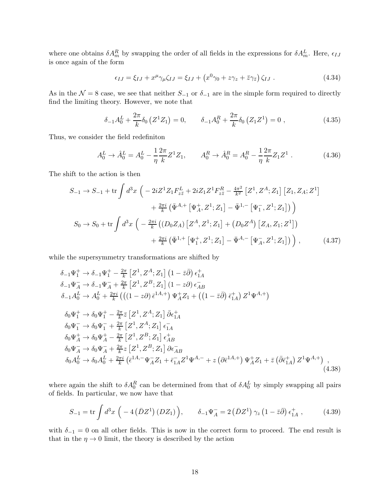where one obtains  $\delta A_m^R$  by swapping the order of all fields in the expressions for  $\delta A_m^L$ . Here,  $\epsilon_{IJ}$ is once again of the form

$$
\epsilon_{IJ} = \xi_{IJ} + x^{\mu} \gamma_{\mu} \zeta_{IJ} = \xi_{IJ} + \left( x^0 \gamma_0 + z \gamma_z + \bar{z} \gamma_{\bar{z}} \right) \zeta_{IJ} . \tag{4.34}
$$

As in the  $\mathcal{N} = 8$  case, we see that neither  $S_{-1}$  or  $\delta_{-1}$  are in the simple form required to directly find the limiting theory. However, we note that

$$
\delta_{-1}A_0^L + \frac{2\pi}{k}\delta_0\left(Z^1 Z_1\right) = 0, \qquad \delta_{-1}A_0^R + \frac{2\pi}{k}\delta_0\left(Z_1 Z^1\right) = 0 \tag{4.35}
$$

Thus, we consider the field redefiniton

$$
A_0^L \to \hat{A}_0^L = A_0^L - \frac{1}{\eta} \frac{2\pi}{k} Z^1 Z_1, \qquad A_0^R \to \hat{A}_0^R = A_0^R - \frac{1}{\eta} \frac{2\pi}{k} Z_1 Z^1 \tag{4.36}
$$

The shift to the action is then

$$
S_{-1} \rightarrow S_{-1} + \text{tr} \int d^3x \left( -2iZ^1 Z_1 F_{z\bar{z}}^L + 2iZ_1 Z^1 F_{z\bar{z}}^R - \frac{4\pi^2}{k^2} \left[ Z^1, Z^A; Z_1 \right] \left[ Z_1, Z_A; Z^1 \right] + \frac{2\pi i}{k} \left( \bar{\Psi}^{A,+} \left[ \Psi_A^+, Z^1; Z_1 \right] - \bar{\Psi}^{1,-} \left[ \Psi_1^-, Z^1; Z_1 \right] \right) \right) S_0 \rightarrow S_0 + \text{tr} \int d^3x \left( -\frac{2\pi i}{k} \left( (D_0 Z_A) \left[ Z^A, Z^1; Z_1 \right] + (D_0 Z^A) \left[ Z_A, Z_1; Z^1 \right] \right) + \frac{2\pi i}{k} \left( \bar{\Psi}^{1,+} \left[ \Psi_1^+, Z^1; Z_1 \right] - \bar{\Psi}^{A,-} \left[ \Psi_A^-, Z^1; Z_1 \right] \right) \right), \tag{4.37}
$$

while the supersymmetry transformations are shifted by

$$
\delta_{-1}\Psi_{1}^{+} \rightarrow \delta_{-1}\Psi_{1}^{+} - \frac{2\pi}{k} \left[ Z^{1}, Z^{A}; Z_{1} \right] \left( 1 - \bar{z}\bar{\partial} \right) \epsilon_{1A}^{+} \n\delta_{-1}\Psi_{A}^{-} \rightarrow \delta_{-1}\Psi_{A}^{-} + \frac{2\pi}{k} \left[ Z^{1}, Z^{B}; Z_{1} \right] \left( 1 - z\partial \right) \epsilon_{AB}^{-} \n\delta_{-1}A_{0}^{L} \rightarrow A_{0}^{L} + \frac{2\pi i}{k} \left( \left( (1 - z\partial) \bar{\epsilon}^{1A,+} \right) \Psi_{A}^{+} Z_{1} + \left( (1 - \bar{z}\bar{\partial}) \bar{\epsilon}_{1A}^{+} \right) Z^{1} \Psi^{A,+} \right) \n\delta_{0}\Psi_{1}^{+} \rightarrow \delta_{0}\Psi_{1}^{+} - \frac{2\pi}{k} \bar{z} \left[ Z^{1}, Z^{A}; Z_{1} \right] \bar{\partial} \epsilon_{1A}^{+} \n\delta_{0}\Psi_{1}^{-} \rightarrow \delta_{0}\Psi_{1}^{-} + \frac{2\pi}{k} \left[ Z^{1}, Z^{A}; Z_{1} \right] \epsilon_{1A}^{-} \n\delta_{0}\Psi_{A}^{+} \rightarrow \delta_{0}\Psi_{A}^{+} - \frac{2\pi}{k} \left[ Z^{1}, Z^{B}; Z_{1} \right] \epsilon_{AB}^{+} \n\delta_{0}\Psi_{A}^{-} \rightarrow \delta_{0}\Psi_{A}^{-} + \frac{2\pi}{k} z \left[ Z^{1}, Z^{B}; Z_{1} \right] \partial \epsilon_{AB}^{-} \n\delta_{0}A_{0}^{L} \rightarrow \delta_{0}A_{0}^{L} + \frac{2\pi i}{k} \left( \bar{\epsilon}^{1A,-} \Psi_{A}^{-} Z_{1} + \bar{\epsilon}_{1A}^{-} Z^{1} \Psi^{A,-} + z \left( \partial \bar{\epsilon}^{1A,+} \right) \Psi_{A}^{+} Z_{1} + \bar{z} \left( \bar{\partial} \bar{\epsilon}_{1A}^{+} \right) Z^{1} \Psi^{A,+} \right) , \tag{4.38}
$$

where again the shift to  $\delta A_0^R$  can be determined from that of  $\delta A_0^L$  by simply swapping all pairs of fields. In particular, we now have that

$$
S_{-1} = \text{tr} \int d^3x \left( -4 \left( \bar{D} Z^1 \right) \left( D Z_1 \right) \right), \qquad \delta_{-1} \Psi_A^- = 2 \left( \bar{D} Z^1 \right) \gamma_z \left( 1 - \bar{z} \bar{\partial} \right) \epsilon_{1A}^+, \tag{4.39}
$$

with  $\delta_{-1} = 0$  on all other fields. This is now in the correct form to proceed. The end result is that in the  $\eta \to 0$  limit, the theory is described by the action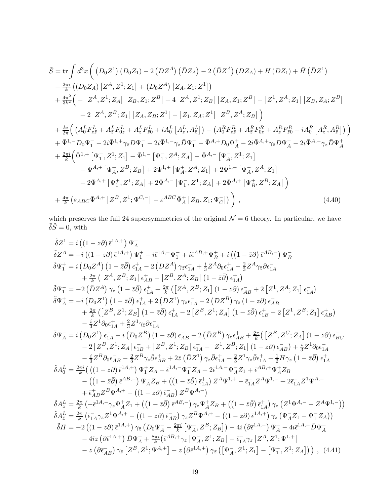$$
\tilde{S} = \text{tr} \int d^{3}x \left( \left( D_{0}Z^{1} \right) \left( D_{0}Z_{1} \right) - 2 \left( DZ^{A} \right) \left( \bar{D}Z_{A} \right) - 2 \left( \bar{D}Z^{A} \right) \left( DZ_{A} \right) + H \left( DZ_{1} \right) + \bar{H} \left( \bar{D}Z^{1} \right) \n- \frac{2\pi i}{k} \left( \left( D_{0}Z_{A} \right) \left[ Z^{A}, Z^{1}; Z_{1} \right] + \left( D_{0}Z^{A} \right) \left[ Z_{A}, Z_{1}; Z^{1} \right] \right) \n+ \frac{4\pi^{2}}{3k^{2}} \left( - \left[ Z^{A}, Z^{1}; Z_{A} \right] \left[ Z_{B}, Z_{1}; Z^{B} \right] + 4 \left[ Z^{A}, Z^{1}; Z_{B} \right] \left[ Z_{A}, Z_{1}; Z^{B} \right] - \left[ Z^{1}, Z^{A}; Z_{1} \right] \left[ Z_{B}, Z_{A}; Z^{B} \right] \n+ 2 \left[ Z^{A}, Z^{B}; Z_{1} \right] \left[ Z_{A}, Z_{B}; Z^{1} \right] - \left[ Z_{1}, Z_{A}; Z^{1} \right] \left[ Z^{B}, Z^{A}; Z_{B} \right] \right) \n+ \frac{k i}{2\pi} \left( \left( A_{0}^{L} F_{zz}^{L} + A_{z}^{L} F_{0z}^{L} + A_{z}^{L} F_{z0}^{L} + i A_{0}^{L} \left[ A_{z}^{L}, A_{z}^{L} \right] \right) - \left( A_{0}^{R} F_{zz}^{R} + A_{z}^{R} F_{0z}^{R} + A_{z}^{R} F_{z0}^{R} + i A_{0}^{R} \left[ A_{z}^{R}, A_{z}^{R} \right] \right) \right) \n+ \bar{\Psi}^{1,-} D_{0} \Psi_{1}^{-} - 2i \bar{\Psi}^{1,+} \gamma_{z} D \Psi_{1}^{-} - 2i \bar{\Psi}^{1,-} \gamma_{z} \bar{D} \Psi_{1}^{+} - \bar{\Psi}^{A,+} D_{0} \Psi_{A}^{+} - 2i \bar{\Psi}^{A,+} \gamma_{z} D \Psi_{A}^{-}
$$

which preserves the full 24 supersymmetries of the original  $\mathcal{N} = 6$  theory. In particular, we have  $\tilde{\delta}\tilde{S}=0, \,{\rm with}$ 

$$
\tilde{\delta}Z^{1} = i \left( (1 - z\partial) \bar{\epsilon}^{1A,+} \right) \Psi_{1}^{+} - i \bar{\epsilon}^{1A,-} \Psi_{1}^{-} + i \bar{\epsilon}^{AB,+} \Psi_{B}^{+} + i \left( (1 - \bar{z}\bar{\partial}) \bar{\epsilon}^{AB,-} \right) \Psi_{B}^{-} \n\tilde{\delta}\Psi_{1}^{+} = i \left( D_{0}Z^{A} \right) \left( 1 - \bar{z}\bar{\partial} \right) \epsilon_{1A}^{+} - 2 \left( DZ^{A} \right) \gamma_{\bar{z}} \epsilon_{1A}^{-} + \frac{i}{3} Z^{A} \partial_{0} \epsilon_{1A}^{+} - \frac{2}{3} Z^{A} \gamma_{\bar{z}} \partial \epsilon_{1A}^{-} \n+ \frac{2\pi}{k} \left( \left[ Z^{A}, Z^{B}; Z_{1} \right] \epsilon_{AB}^{+} - \left[ Z^{B}, Z^{A}; Z_{B} \right] \left( 1 - \bar{z}\bar{\partial} \right) \epsilon_{1A}^{+} \right) \n\tilde{\delta}\Psi_{1}^{-} = -2 \left( \bar{D}Z^{A} \right) \gamma_{z} \left( 1 - \bar{z}\bar{\partial} \right) \epsilon_{1A}^{+} + \frac{2\pi}{k} \left( \left[ Z^{A}, Z^{B}; Z_{1} \right] \left( 1 - z\partial \right) \epsilon_{AB}^{-} + 2 \left[ Z^{1}, Z^{A}; Z_{1} \right] \epsilon_{1A}^{-} \right) \n+ \frac{2\pi}{k} \left( \left[ Z^{B}, Z^{1}; Z_{B} \right] \left( 1 - \bar{z}\bar{\partial} \right) \epsilon_{1A}^{+} + 2 \left( DZ^{1} \right) \gamma_{\bar{z}} \epsilon_{1A}^{-} - 2 \left( DZ^{B} \right) \gamma_{\bar{z}} \left( 1 - z\partial \right) \epsilon_{AB}^{-} \right) \n+ \frac{2\pi}{k} \left( \left[ Z^{B}, Z^{1}; Z_{B} \right] \left( 1 - \bar{z}\bar{\partial} \right) \epsilon_{1A}^{+} - 2 \left[ Z^{B}, Z^{1}; Z_{A} \right] \left( 1 - \bar{z}\bar{\partial} \right) \epsilon_{1B}^{+} - 2 \left[ Z^{1}, Z^{
$$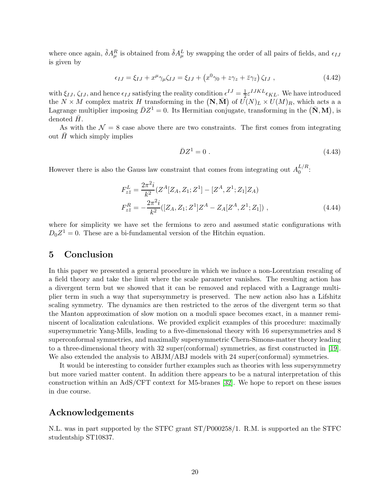where once again,  $\tilde{\delta}A_{\mu}^{R}$  is obtained from  $\tilde{\delta}A_{\mu}^{L}$  by swapping the order of all pairs of fields, and  $\epsilon_{IJ}$ is given by

$$
\epsilon_{IJ} = \xi_{IJ} + x^{\mu} \gamma_{\mu} \zeta_{IJ} = \xi_{IJ} + \left( x^0 \gamma_0 + z \gamma_z + \bar{z} \gamma_{\bar{z}} \right) \zeta_{IJ} , \qquad (4.42)
$$

with  $\xi_{IJ}$ ,  $\zeta_{IJ}$ , and hence  $\epsilon_{IJ}$  satisfying the reality condition  $\epsilon^{IJ} = \frac{1}{2} \epsilon^{IJKL} \epsilon_{KL}$ . We have introduced the  $N \times M$  complex matrix H<sub>-</sub>transforming in the  $(N, \overline{M})$  of  $\tilde{U}(N)_L \times U(M)_R$ , which acts a a Lagrange multiplier imposing  $\bar{D}Z^1 = 0$ . Its Hermitian conjugate, transforming in the  $(\bar{N}, M)$ , is denoted  $\bar{H}$ .

As with the  $\mathcal{N} = 8$  case above there are two constraints. The first comes from integrating out  $\bar{H}$  which simply implies

$$
\bar{D}Z^1 = 0 \tag{4.43}
$$

However there is also the Gauss law constraint that comes from integrating out  $A_0^{L/R}$  $\frac{L}{0}$ :

$$
F_{z\bar{z}}^{L} = \frac{2\pi^{2}i}{k^{2}} (Z^{A}[Z_{A}, Z_{1}; Z^{1}] - [Z^{A}, Z^{1}; Z_{1}]Z_{A})
$$
  
\n
$$
F_{z\bar{z}}^{R} = -\frac{2\pi^{2}i}{k^{2}} ([Z_{A}, Z_{1}; Z^{1}]Z^{A} - Z_{A}[Z^{A}, Z^{1}; Z_{1}]),
$$
\n(4.44)

where for simplicity we have set the fermions to zero and assumed static configurations with  $D_0 Z^1 = 0$ . These are a bi-fundamental version of the Hitchin equation.

#### 5 Conclusion

In this paper we presented a general procedure in which we induce a non-Lorentzian rescaling of a field theory and take the limit where the scale parameter vanishes. The resulting action has a divergent term but we showed that it can be removed and replaced with a Lagrange multiplier term in such a way that supersymmetry is preserved. The new action also has a Lifshitz scaling symmetry. The dynamics are then restricted to the zeros of the divergent term so that the Manton approximation of slow motion on a moduli space becomes exact, in a manner reminiscent of localization calculations. We provided explicit examples of this procedure: maximally supersymmetric Yang-Mills, leading to a five-dimensional theory with 16 supersymmetries and 8 superconformal symmetries, and maximally supersymmetric Chern-Simons-matter theory leading to a three-dimensional theory with 32 super(conformal) symmetries, as first constructed in [\[19\]](#page-22-3). We also extended the analysis to ABJM/ABJ models with 24 super(conformal) symmetries.

It would be interesting to consider further examples such as theories with less supersymmetry but more varied matter content. In addition there appears to be a natural interpretation of this construction within an AdS/CFT context for M5-branes [\[32\]](#page-23-10). We hope to report on these issues in due course.

## Acknowledgements

N.L. was in part supported by the STFC grant ST/P000258/1. R.M. is supported an the STFC studentship ST10837.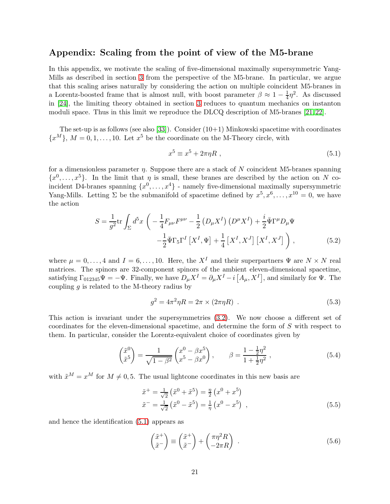### Appendix: Scaling from the point of view of the M5-brane

In this appendix, we motivate the scaling of five-dimensional maximally supersymmetric Yang-Mills as described in section [3](#page-5-1) from the perspective of the M5-brane. In particular, we argue that this scaling arises naturally by considering the action on multiple coincident M5-branes in a Lorentz-boosted frame that is almost null, with boost parameter  $\beta \approx 1 - \frac{1}{4}$  $\frac{1}{4}\eta^2$ . As discussed in [\[24\]](#page-23-2), the limiting theory obtained in section [3](#page-5-1) reduces to quantum mechanics on instanton moduli space. Thus in this limit we reproduce the DLCQ description of M5-branes [\[21,](#page-22-5) [22\]](#page-23-0).

The set-up is as follows (see also [\[33\]](#page-23-11)). Consider  $(10+1)$  Minkowski spacetime with coordinates  ${x<sup>M</sup>}$ ,  $M = 0, 1, ..., 10$ . Let  $x<sup>5</sup>$  be the coordinate on the M-Theory circle, with

<span id="page-20-0"></span>
$$
x^5 \equiv x^5 + 2\pi\eta R \tag{5.1}
$$

for a dimensionless parameter  $\eta$ . Suppose there are a stack of N coincident M5-branes spanning  $\{x^0, \ldots, x^5\}$ . In the limit that  $\eta$  is small, these branes are described by the action on N coincident D4-branes spanning  $\{x^0, \ldots, x^4\}$  - namely five-dimensional maximally supersymmetric Yang-Mills. Letting  $\Sigma$  be the submanifold of spacetime defined by  $x^5, x^6, \ldots, x^{10} = 0$ , we have the action

$$
S = \frac{1}{g^2} \text{tr} \int_{\Sigma} d^5 x \left( -\frac{1}{4} F_{\mu\nu} F^{\mu\nu} - \frac{1}{2} \left( D_{\mu} X^I \right) \left( D^{\mu} X^I \right) + \frac{i}{2} \bar{\Psi} \Gamma^{\mu} D_{\mu} \Psi - \frac{1}{2} \bar{\Psi} \Gamma_5 \Gamma^I \left[ X^I, \Psi \right] + \frac{1}{4} \left[ X^I, X^J \right] \left[ X^I, X^J \right] \right), \tag{5.2}
$$

where  $\mu = 0, \ldots, 4$  and  $I = 6, \ldots, 10$ . Here, the  $X^I$  and their superpartners  $\Psi$  are  $N \times N$  real matrices. The spinors are 32-component spinors of the ambient eleven-dimensional spacetime, satisfying  $\Gamma_{012345}\Psi = -\Psi$ . Finally, we have  $D_{\mu}X^{I} = \partial_{\mu}X^{I} - i[A_{\mu}, X^{I}],$  and similarly for  $\Psi$ . The coupling  $g$  is related to the M-theory radius by

$$
g^2 = 4\pi^2 \eta R = 2\pi \times (2\pi \eta R) \tag{5.3}
$$

This action is invariant under the supersymmetries [\(3.2\)](#page-5-2). We now choose a different set of coordinates for the eleven-dimensional spacetime, and determine the form of S with respect to them. In particular, consider the Lorentz-equivalent choice of coordinates given by

$$
\begin{pmatrix} \tilde{x}^0 \\ \tilde{x}^5 \end{pmatrix} = \frac{1}{\sqrt{1 - \beta^2}} \begin{pmatrix} x^0 - \beta x^5 \\ x^5 - \beta x^0 \end{pmatrix}, \qquad \beta = \frac{1 - \frac{1}{2}\eta^2}{1 + \frac{1}{2}\eta^2}, \qquad (5.4)
$$

with  $\tilde{x}^M = x^M$  for  $M \neq 0, 5$ . The usual lightcone coordinates in this new basis are

$$
\tilde{x}^{+} = \frac{1}{\sqrt{2}} \left( \tilde{x}^{0} + \tilde{x}^{5} \right) = \frac{\eta}{2} \left( x^{0} + x^{5} \right) \n\tilde{x}^{-} = \frac{1}{\sqrt{2}} \left( \tilde{x}^{0} - \tilde{x}^{5} \right) = \frac{1}{\eta} \left( x^{0} - x^{5} \right) ,
$$
\n(5.5)

and hence the identification [\(5.1\)](#page-20-0) appears as

$$
\begin{pmatrix} \tilde{x}^+ \\ \tilde{x}^- \end{pmatrix} \equiv \begin{pmatrix} \tilde{x}^+ \\ \tilde{x}^- \end{pmatrix} + \begin{pmatrix} \pi \eta^2 R \\ -2\pi R \end{pmatrix} . \tag{5.6}
$$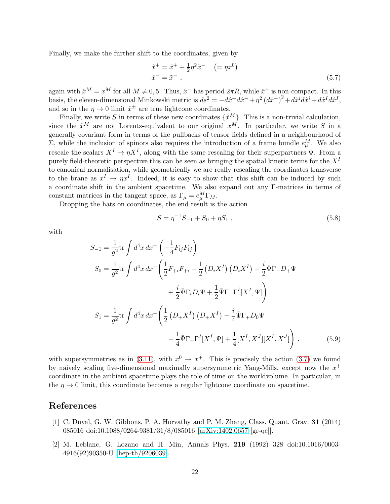Finally, we make the further shift to the coordinates, given by

$$
\begin{aligned}\n\hat{x}^+ &= \tilde{x}^+ + \frac{1}{2}\eta^2 \tilde{x}^- \quad (= \eta x^0) \\
\hat{x}^- &= \tilde{x}^- \;,\n\end{aligned} \tag{5.7}
$$

again with  $\hat{x}^M = x^M$  for all  $M \neq 0, 5$ . Thus,  $\hat{x}^-$  has period  $2\pi R$ , while  $\hat{x}^+$  is non-compact. In this basis, the eleven-dimensional Minkowski metric is  $ds^2 = -dx^+d\hat{x}^- + \eta^2(d\hat{x}^-)^2 + d\hat{x}^i d\hat{x}^i + d\hat{x}^I d\hat{x}^I$ , and so in the  $\eta \to 0$  limit  $\hat{x}^{\pm}$  are true lightcone coordinates.

Finally, we write S in terms of these new coordinates  $\{\hat{x}^M\}$ . This is a non-trivial calculation, since the  $\hat{x}^M$  are not Lorentz-equivalent to our original  $x^M$ . In particular, we write S in a generally covariant form in terms of the pullbacks of tensor fields defined in a neighbourhood of  $\Sigma$ , while the inclusion of spinors also requires the introduction of a frame bundle  $e^M_\mu$ . We also rescale the scalars  $X^I \to \eta X^I$ , along with the same rescaling for their superpartners  $\Psi$ . From a purely field-theoretic perspective this can be seen as bringing the spatial kinetic terms for the  $X<sup>I</sup>$ to canonical normalisation, while geometrically we are really rescaling the coordinates transverse to the brane as  $x^I \to \eta x^I$ . Indeed, it is easy to show that this shift can be induced by such a coordinate shift in the ambient spacetime. We also expand out any Γ-matrices in terms of constant matrices in the tangent space, as  $\Gamma_{\mu} = e_{\mu}^{M} \Gamma_{M}$ .

Dropping the hats on coordinates, the end result is the action

$$
S = \eta^{-1} S_{-1} + S_0 + \eta S_1 , \qquad (5.8)
$$

with

$$
S_{-1} = \frac{1}{g^2} \text{tr} \int d^4 x \, dx^+ \left( -\frac{1}{4} F_{ij} F_{ij} \right)
$$
  
\n
$$
S_0 = \frac{1}{g^2} \text{tr} \int d^4 x \, dx^+ \left( \frac{1}{2} F_{+i} F_{+i} - \frac{1}{2} \left( D_i X^I \right) \left( D_i X^I \right) - \frac{i}{2} \bar{\Psi} \Gamma_- D_+ \Psi
$$
  
\n
$$
+ \frac{i}{2} \bar{\Psi} \Gamma_i D_i \Psi + \frac{1}{2} \bar{\Psi} \Gamma_- \Gamma^I [X^I, \Psi] \right)
$$
  
\n
$$
S_1 = \frac{1}{g^2} \text{tr} \int d^4 x \, dx^+ \left( \frac{1}{2} \left( D_+ X^I \right) \left( D_+ X^I \right) - \frac{i}{4} \bar{\Psi} \Gamma_+ D_0 \Psi
$$
  
\n
$$
- \frac{1}{4} \bar{\Psi} \Gamma_+ \Gamma^I [X^I, \Psi] + \frac{1}{4} [X^I, X^J] [X^I, X^J] \right) . \tag{5.9}
$$

with supersymmetries as in [\(3.11\)](#page-7-1), with  $x^0 \to x^+$ . This is precisely the action [\(3.7\)](#page-6-1) we found by naively scaling five-dimensional maximally supersymmetric Yang-Mills, except now the  $x^+$ coordinate in the ambient spacetime plays the role of time on the worldvolume. In particular, in the  $\eta \to 0$  limit, this coordinate becomes a regular lightcone coordinate on spacetime.

# <span id="page-21-0"></span>References

- [1] C. Duval, G. W. Gibbons, P. A. Horvathy and P. M. Zhang, Class. Quant. Grav. 31 (2014) 085016 doi:10.1088/0264-9381/31/8/085016 [\[arXiv:1402.0657](http://arxiv.org/abs/1402.0657) [gr-qc]].
- <span id="page-21-1"></span>[2] M. Leblanc, G. Lozano and H. Min, Annals Phys. 219 (1992) 328 doi:10.1016/0003- 4916(92)90350-U [\[hep-th/9206039\]](http://arxiv.org/abs/hep-th/9206039).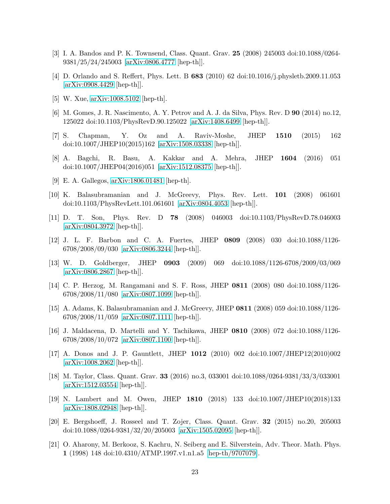- [3] I. A. Bandos and P. K. Townsend, Class. Quant. Grav. 25 (2008) 245003 doi:10.1088/0264- 9381/25/24/245003 [\[arXiv:0806.4777](http://arxiv.org/abs/0806.4777) [hep-th]].
- [4] D. Orlando and S. Reffert, Phys. Lett. B 683 (2010) 62 doi:10.1016/j.physletb.2009.11.053 [\[arXiv:0908.4429](http://arxiv.org/abs/0908.4429) [hep-th]].
- [5] W. Xue, [arXiv:1008.5102](http://arxiv.org/abs/1008.5102) [hep-th].
- [6] M. Gomes, J. R. Nascimento, A. Y. Petrov and A. J. da Silva, Phys. Rev. D 90 (2014) no.12, 125022 doi:10.1103/PhysRevD.90.125022 [\[arXiv:1408.6499](http://arxiv.org/abs/1408.6499) [hep-th]].
- [7] S. Chapman, Y. Oz and A. Raviv-Moshe, JHEP 1510 (2015) 162 doi:10.1007/JHEP10(2015)162 [\[arXiv:1508.03338](http://arxiv.org/abs/1508.03338) [hep-th]].
- <span id="page-22-0"></span>[8] A. Bagchi, R. Basu, A. Kakkar and A. Mehra, JHEP 1604 (2016) 051 doi:10.1007/JHEP04(2016)051 [\[arXiv:1512.08375](http://arxiv.org/abs/1512.08375) [hep-th]].
- <span id="page-22-1"></span>[9] E. A. Gallegos, [arXiv:1806.01481](http://arxiv.org/abs/1806.01481) [hep-th].
- [10] K. Balasubramanian and J. McGreevy, Phys. Rev. Lett. 101 (2008) 061601 doi:10.1103/PhysRevLett.101.061601 [\[arXiv:0804.4053](http://arxiv.org/abs/0804.4053) [hep-th]].
- [11] D. T. Son, Phys. Rev. D 78 (2008) 046003 doi:10.1103/PhysRevD.78.046003 [\[arXiv:0804.3972](http://arxiv.org/abs/0804.3972) [hep-th]].
- [12] J. L. F. Barbon and C. A. Fuertes, JHEP 0809 (2008) 030 doi:10.1088/1126- 6708/2008/09/030 [\[arXiv:0806.3244](http://arxiv.org/abs/0806.3244) [hep-th]].
- [13] W. D. Goldberger, JHEP 0903 (2009) 069 doi:10.1088/1126-6708/2009/03/069 [\[arXiv:0806.2867](http://arxiv.org/abs/0806.2867) [hep-th]].
- [14] C. P. Herzog, M. Rangamani and S. F. Ross, JHEP 0811 (2008) 080 doi:10.1088/1126- 6708/2008/11/080 [\[arXiv:0807.1099](http://arxiv.org/abs/0807.1099) [hep-th]].
- [15] A. Adams, K. Balasubramanian and J. McGreevy, JHEP 0811 (2008) 059 doi:10.1088/1126-  $6708/2008/11/059$  [\[arXiv:0807.1111](http://arxiv.org/abs/0807.1111) [hep-th]].
- [16] J. Maldacena, D. Martelli and Y. Tachikawa, JHEP 0810 (2008) 072 doi:10.1088/1126- 6708/2008/10/072 [\[arXiv:0807.1100](http://arxiv.org/abs/0807.1100) [hep-th]].
- [17] A. Donos and J. P. Gauntlett, JHEP 1012 (2010) 002 doi:10.1007/JHEP12(2010)002 [\[arXiv:1008.2062](http://arxiv.org/abs/1008.2062) [hep-th]].
- <span id="page-22-2"></span>[18] M. Taylor, Class. Quant. Grav. 33 (2016) no.3, 033001 doi:10.1088/0264-9381/33/3/033001 [\[arXiv:1512.03554](http://arxiv.org/abs/1512.03554) [hep-th]].
- <span id="page-22-3"></span>[19] N. Lambert and M. Owen, JHEP 1810 (2018) 133 doi:10.1007/JHEP10(2018)133 [\[arXiv:1808.02948](http://arxiv.org/abs/1808.02948) [hep-th]].
- <span id="page-22-4"></span>[20] E. Bergshoeff, J. Rosseel and T. Zojer, Class. Quant. Grav. 32 (2015) no.20, 205003 doi:10.1088/0264-9381/32/20/205003 [\[arXiv:1505.02095](http://arxiv.org/abs/1505.02095) [hep-th]].
- <span id="page-22-5"></span>[21] O. Aharony, M. Berkooz, S. Kachru, N. Seiberg and E. Silverstein, Adv. Theor. Math. Phys. 1 (1998) 148 doi:10.4310/ATMP.1997.v1.n1.a5 [\[hep-th/9707079\]](http://arxiv.org/abs/hep-th/9707079).